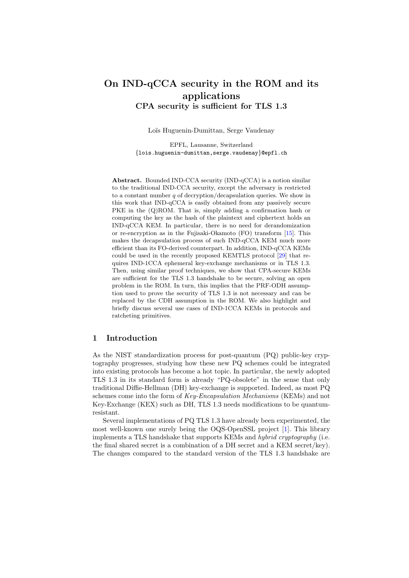# On IND-qCCA security in the ROM and its applications CPA security is sufficient for TLS 1.3

Loïs Huguenin-Dumittan, Serge Vaudenay

EPFL, Lausanne, Switzerland {lois.huguenin-dumittan,serge.vaudenay}@epfl.ch

Abstract. Bounded IND-CCA security (IND-qCCA) is a notion similar to the traditional IND-CCA security, except the adversary is restricted to a constant number  $q$  of decryption/decapsulation queries. We show in this work that IND-qCCA is easily obtained from any passively secure PKE in the  $(Q)$ ROM. That is, simply adding a confirmation hash or computing the key as the hash of the plaintext and ciphertext holds an IND-qCCA KEM. In particular, there is no need for derandomization or re-encryption as in the Fujisaki-Okamoto (FO) transform [\[15\]](#page-30-0). This makes the decapsulation process of such IND-qCCA KEM much more efficient than its FO-derived counterpart. In addition, IND-qCCA KEMs could be used in the recently proposed KEMTLS protocol [\[29\]](#page-31-0) that requires IND-1CCA ephemeral key-exchange mechanisms or in TLS 1.3. Then, using similar proof techniques, we show that CPA-secure KEMs are sufficient for the TLS 1.3 handshake to be secure, solving an open problem in the ROM. In turn, this implies that the PRF-ODH assumption used to prove the security of TLS 1.3 is not necessary and can be replaced by the CDH assumption in the ROM. We also highlight and briefly discuss several use cases of IND-1CCA KEMs in protocols and ratcheting primitives.

# 1 Introduction

As the NIST standardization process for post-quantum (PQ) public-key cryptography progresses, studying how these new PQ schemes could be integrated into existing protocols has become a hot topic. In particular, the newly adopted TLS 1.3 in its standard form is already "PQ-obsolete" in the sense that only traditional Diffie-Hellman (DH) key-exchange is supported. Indeed, as most PQ schemes come into the form of *Key-Encapsulation Mechanisms* (KEMs) and not Key-Exchange (KEX) such as DH, TLS 1.3 needs modifications to be quantumresistant.

Several implementations of PQ TLS 1.3 have already been experimented, the most well-known one surely being the OQS-OpenSSL project [\[1\]](#page-29-0). This library implements a TLS handshake that supports KEMs and hybrid cryptography (i.e. the final shared secret is a combination of a DH secret and a KEM secret/key). The changes compared to the standard version of the TLS 1.3 handshake are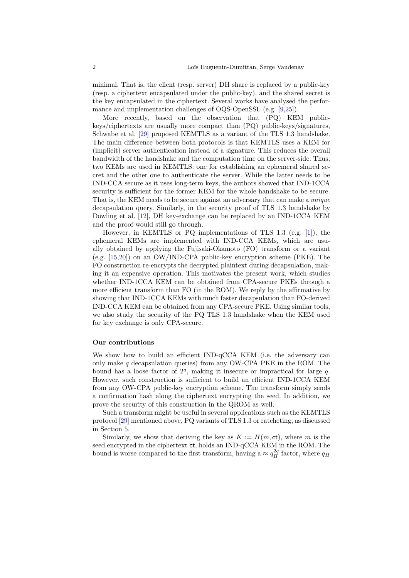minimal. That is, the client (resp. server) DH share is replaced by a public-key (resp. a ciphertext encapsulated under the public-key), and the shared secret is the key encapsulated in the ciphertext. Several works have analysed the performance and implementation challenges of OQS-OpenSSL (e.g. [\[9,](#page-30-1)[25\]](#page-30-2)).

More recently, based on the observation that (PQ) KEM publickeys/ciphertexts are usually more compact than (PQ) public-keys/signatures, Schwabe et al. [\[29\]](#page-31-0) proposed KEMTLS as a variant of the TLS 1.3 handshake. The main difference between both protocols is that KEMTLS uses a KEM for (implicit) server authentication instead of a signature. This reduces the overall bandwidth of the handshake and the computation time on the server-side. Thus, two KEMs are used in KEMTLS: one for establishing an ephemeral shared secret and the other one to authenticate the server. While the latter needs to be IND-CCA secure as it uses long-term keys, the authors showed that IND-1CCA security is sufficient for the former KEM for the whole handshake to be secure. That is, the KEM needs to be secure against an adversary that can make a *unique* decapsulation query. Similarly, in the security proof of TLS 1.3 handshake by Dowling et al. [\[12\]](#page-30-3), DH key-exchange can be replaced by an IND-1CCA KEM and the proof would still go through.

However, in KEMTLS or PQ implementations of TLS 1.3 (e.g. [\[1\]](#page-29-0)), the ephemeral KEMs are implemented with IND-CCA KEMs, which are usually obtained by applying the Fujisaki-Okamoto (FO) transform or a variant (e.g. [\[15,](#page-30-0)[20\]](#page-30-4)) on an OW/IND-CPA public-key encryption scheme (PKE). The FO construction re-encrypts the decrypted plaintext during decapsulation, making it an expensive operation. This motivates the present work, which studies whether IND-1CCA KEM can be obtained from CPA-secure PKEs through a more efficient transform than FO (in the ROM). We reply by the affirmative by showing that IND-1CCA KEMs with much faster decapsulation than FO-derived IND-CCA KEM can be obtained from any CPA-secure PKE. Using similar tools, we also study the security of the PQ TLS 1.3 handshake when the KEM used for key exchange is only CPA-secure.

#### Our contributions

We show how to build an efficient IND-qCCA KEM (i.e. the adversary can only make  $q$  decapsulation queries) from any OW-CPA PKE in the ROM. The bound has a loose factor of  $2<sup>q</sup>$ , making it insecure or impractical for large  $q$ . However, such construction is sufficient to build an efficient IND-1CCA KEM from any OW-CPA public-key encryption scheme. The transform simply sends a confirmation hash along the ciphertext encrypting the seed. In addition, we prove the security of this construction in the QROM as well.

Such a transform might be useful in several applications such as the KEMTLS protocol [\[29\]](#page-31-0) mentioned above, PQ variants of TLS 1.3 or ratcheting, as discussed in Section [5.](#page-27-0)

Similarly, we show that deriving the key as  $K := H(m, ct)$ , where m is the seed encrypted in the ciphertext ct, holds an IND-qCCA KEM in the ROM. The bound is worse compared to the first transform, having a  $\approx q_H^{2q}$  factor, where  $q_H$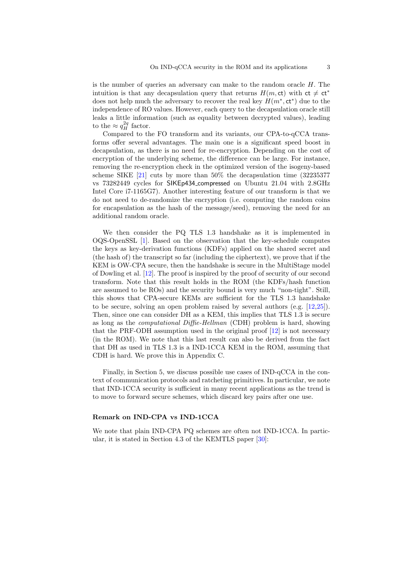is the number of queries an adversary can make to the random oracle H. The intuition is that any decapsulation query that returns  $H(m, ct)$  with  $ct \neq ct^*$ does not help much the adversary to recover the real key  $H(m^*, ct^*)$  due to the independence of RO values. However, each query to the decapsulation oracle still leaks a little information (such as equality between decrypted values), leading to the  $\approx q_H^{2q}$  factor.

Compared to the FO transform and its variants, our CPA-to-qCCA transforms offer several advantages. The main one is a significant speed boost in decapsulation, as there is no need for re-encryption. Depending on the cost of encryption of the underlying scheme, the difference can be large. For instance, removing the re-encryption check in the optimized version of the isogeny-based scheme SIKE [\[21\]](#page-30-5) cuts by more than 50% the decapsulation time (32235377 vs 73282449 cycles for SIKEp434 compressed on Ubuntu 21.04 with 2.8GHz Intel Core i7-1165G7). Another interesting feature of our transform is that we do not need to de-randomize the encryption (i.e. computing the random coins for encapsulation as the hash of the message/seed), removing the need for an additional random oracle.

We then consider the PQ TLS 1.3 handshake as it is implemented in OQS-OpenSSL [\[1\]](#page-29-0). Based on the observation that the key-schedule computes the keys as key-derivation functions (KDFs) applied on the shared secret and (the hash of) the transcript so far (including the ciphertext), we prove that if the KEM is OW-CPA secure, then the handshake is secure in the MultiStage model of Dowling et al. [\[12\]](#page-30-3). The proof is inspired by the proof of security of our second transform. Note that this result holds in the ROM (the KDFs/hash function are assumed to be ROs) and the security bound is very much "non-tight". Still, this shows that CPA-secure KEMs are sufficient for the TLS 1.3 handshake to be secure, solving an open problem raised by several authors (e.g. [\[12](#page-30-3)[,25\]](#page-30-2)). Then, since one can consider DH as a KEM, this implies that TLS 1.3 is secure as long as the computational Diffie-Hellman (CDH) problem is hard, showing that the PRF-ODH assumption used in the original proof [\[12\]](#page-30-3) is not necessary (in the ROM). We note that this last result can also be derived from the fact that DH as used in TLS 1.3 is a IND-1CCA KEM in the ROM, assuming that CDH is hard. We prove this in Appendix [C.](#page-38-0)

Finally, in Section [5,](#page-27-0) we discuss possible use cases of IND-qCCA in the context of communication protocols and ratcheting primitives. In particular, we note that IND-1CCA security is sufficient in many recent applications as the trend is to move to forward secure schemes, which discard key pairs after one use.

#### Remark on IND-CPA vs IND-1CCA

We note that plain IND-CPA PQ schemes are often not IND-1CCA. In particular, it is stated in Section 4.3 of the KEMTLS paper [\[30\]](#page-31-1):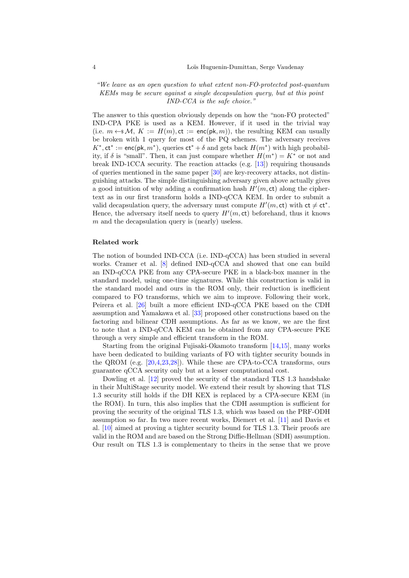"We leave as an open question to what extent non-FO-protected post-quantum KEMs may be secure against a single decapsulation query, but at this point IND-CCA is the safe choice."

The answer to this question obviously depends on how the "non-FO protected" IND-CPA PKE is used as a KEM. However, if it used in the trivial way (i.e.  $m \leftarrow M$ ,  $K := H(m)$ ,  $ct := \mathsf{enc}(\mathsf{pk}, m)$ ), the resulting KEM can usually be broken with 1 query for most of the PQ schemes. The adversary receives  $K^*$ , ct<sup>\*</sup> := enc(pk,  $m^*$ ), queries ct<sup>\*</sup> +  $\delta$  and gets back  $H(m^*)$  with high probability, if  $\delta$  is "small". Then, it can just compare whether  $H(m^*) = K^*$  or not and break IND-1CCA security. The reaction attacks  $(e.g. 13)$  requiring thousands of queries mentioned in the same paper [\[30\]](#page-31-1) are key-recovery attacks, not distinguishing attacks. The simple distinguishing adversary given above actually gives a good intuition of why adding a confirmation hash  $H'(m, ct)$  along the ciphertext as in our first transform holds a IND-qCCA KEM. In order to submit a valid decapsulation query, the adversary must compute  $H'(m, ct)$  with  $ct \neq ct^*$ . Hence, the adversary itself needs to query  $H'(m, ct)$  beforehand, thus it knows  $m$  and the decapsulation query is (nearly) useless.

#### Related work

The notion of bounded IND-CCA (i.e. IND-qCCA) has been studied in several works. Cramer et al. [\[8\]](#page-29-1) defined IND-qCCA and showed that one can build an IND-qCCA PKE from any CPA-secure PKE in a black-box manner in the standard model, using one-time signatures. While this construction is valid in the standard model and ours in the ROM only, their reduction is inefficient compared to FO transforms, which we aim to improve. Following their work, Peirera et al. [\[26\]](#page-31-2) built a more efficient IND-qCCA PKE based on the CDH assumption and Yamakawa et al. [\[33\]](#page-31-3) proposed other constructions based on the factoring and bilinear CDH assumptions. As far as we know, we are the first to note that a IND-qCCA KEM can be obtained from any CPA-secure PKE through a very simple and efficient transform in the ROM.

Starting from the original Fujisaki-Okamoto transform [\[14,](#page-30-7)[15\]](#page-30-0), many works have been dedicated to building variants of FO with tighter security bounds in the QROM (e.g. [\[20,](#page-30-4)[4](#page-29-2)[,23](#page-30-8)[,28\]](#page-31-4)). While these are CPA-to-CCA transforms, ours guarantee qCCA security only but at a lesser computational cost.

Dowling et al. [\[12\]](#page-30-3) proved the security of the standard TLS 1.3 handshake in their MultiStage security model. We extend their result by showing that TLS 1.3 security still holds if the DH KEX is replaced by a CPA-secure KEM (in the ROM). In turn, this also implies that the CDH assumption is sufficient for proving the security of the original TLS 1.3, which was based on the PRF-ODH assumption so far. In two more recent works, Diemert et al. [\[11\]](#page-30-9) and Davis et al. [\[10\]](#page-30-10) aimed at proving a tighter security bound for TLS 1.3. Their proofs are valid in the ROM and are based on the Strong Diffie-Hellman (SDH) assumption. Our result on TLS 1.3 is complementary to theirs in the sense that we prove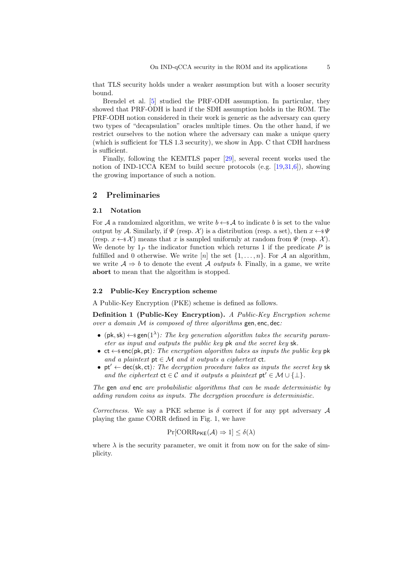that TLS security holds under a weaker assumption but with a looser security bound.

Brendel et al. [\[5\]](#page-29-3) studied the PRF-ODH assumption. In particular, they showed that PRF-ODH is hard if the SDH assumption holds in the ROM. The PRF-ODH notion considered in their work is generic as the adversary can query two types of "decapsulation" oracles multiple times. On the other hand, if we restrict ourselves to the notion where the adversary can make a unique query (which is sufficient for TLS 1.3 security), we show in App. [C](#page-38-0) that CDH hardness is sufficient.

Finally, following the KEMTLS paper [\[29\]](#page-31-0), several recent works used the notion of IND-1CCA KEM to build secure protocols (e.g.  $[19,31,6]$  $[19,31,6]$  $[19,31,6]$ ), showing the growing importance of such a notion.

# 2 Preliminaries

#### 2.1 Notation

For A a randomized algorithm, we write  $b \leftarrow \mathcal{A}$  to indicate b is set to the value output by A. Similarly, if  $\Psi$  (resp. X) is a distribution (resp. a set), then  $x \leftarrow \mathcal{F} \Psi$ (resp.  $x \leftarrow \in \mathcal{X}$ ) means that x is sampled uniformly at random from  $\Psi$  (resp. X). We denote by  $1_P$  the indicator function which returns 1 if the predicate P is fulfilled and 0 otherwise. We write [n] the set  $\{1, \ldots, n\}$ . For A an algorithm, we write  $A \Rightarrow b$  to denote the event A *outputs b*. Finally, in a game, we write abort to mean that the algorithm is stopped.

#### 2.2 Public-Key Encryption scheme

A Public-Key Encryption (PKE) scheme is defined as follows.

Definition 1 (Public-Key Encryption). A Public-Key Encryption scheme over a domain  $M$  is composed of three algorithms gen, enc, dec:

- (pk, sk)  $\leftarrow$  sgen(1<sup> $\lambda$ </sup>): The key generation algorithm takes the security parameter as input and outputs the public key pk and the secret key sk.
- ct  $\leftarrow$ \$ enc(pk, pt): The encryption algorithm takes as inputs the public key pk and a plaintext  $pt \in \mathcal{M}$  and it outputs a ciphertext  $ct$ .
- pt'  $\leftarrow$  dec(sk, ct): The decryption procedure takes as inputs the secret key sk and the ciphertext  $ct \in C$  and it outputs a plaintext  $pt' \in \mathcal{M} \cup \{\perp\}.$

The gen and enc are probabilistic algorithms that can be made deterministic by adding random coins as inputs. The decryption procedure is deterministic.

Correctness. We say a PKE scheme is  $\delta$  correct if for any ppt adversary A playing the game CORR defined in Fig. [1,](#page-5-0) we have

$$
Pr[CORR_{\mathsf{PKE}}(\mathcal{A}) \Rightarrow 1] \le \delta(\lambda)
$$

where  $\lambda$  is the security parameter, we omit it from now on for the sake of simplicity.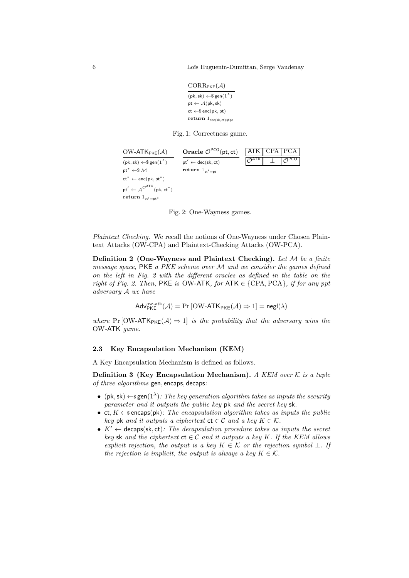<span id="page-5-0"></span>6 Lo¨ıs Huguenin-Dumittan, Serge Vaudenay

```
CORR_{\text{PKE}}(\mathcal{A})
```
 $(\mathsf{pk}, \mathsf{sk}) \leftarrow \$ \mathsf{gen}(1^\lambda)$  $pt \leftarrow \mathcal{A}(pk, sk)$  $ct \leftarrow \$$  enc $(\text{pk}, \text{pt})$ return  $1_{\text{dec}(sk, ct) \neq pt}$ 

Fig. 1: Correctness game.

<span id="page-5-1"></span>

Fig. 2: One-Wayness games.

Plaintext Checking. We recall the notions of One-Wayness under Chosen Plaintext Attacks (OW-CPA) and Plaintext-Checking Attacks (OW-PCA).

Definition 2 (One-Wayness and Plaintext Checking). Let  $M$  be a finite message space,  $PKE$  a  $PKE$  scheme over  $M$  and we consider the games defined on the left in Fig. [2](#page-5-1) with the different oracles as defined in the table on the right of Fig. [2.](#page-5-1) Then, PKE is OW-ATK, for ATK  $\in \{CPA, PCA\}$ , if for any ppt adversary A we have

$$
\mathsf{Adv}_{\mathsf{PKE}}^{\mathsf{ow}\text{-}\mathsf{atk}}(\mathcal{A}) = \Pr\left[\mathsf{OW}\text{-}\mathsf{ATK}_{\mathsf{PKE}}(\mathcal{A}) \Rightarrow 1\right] = \mathsf{negl}(\lambda)
$$

where Pr [OW-ATK<sub>PKE</sub>( $\mathcal{A}$ )  $\Rightarrow$  1] is the probability that the adversary wins the OW-ATK game.

# 2.3 Key Encapsulation Mechanism (KEM)

A Key Encapsulation Mechanism is defined as follows.

**Definition 3 (Key Encapsulation Mechanism).** A KEM over  $K$  is a tuple of three algorithms gen, encaps, decaps:

- (pk, sk)  $\leftarrow$  s gen(1<sup> $\lambda$ </sup>): The key generation algorithm takes as inputs the security parameter and it outputs the public key pk and the secret key sk.
- ct,  $K \leftarrow$  sencaps(pk): The encapsulation algorithm takes as inputs the public key pk and it outputs a ciphertext  $ct \in C$  and a key  $K \in \mathcal{K}$ .
- $K' \leftarrow$  decaps(sk, ct): The decapsulation procedure takes as inputs the secret key sk and the ciphertext  $ct \in C$  and it outputs a key K. If the KEM allows explicit rejection, the output is a key  $K \in \mathcal{K}$  or the rejection symbol  $\perp$ . If the rejection is implicit, the output is always a key  $K \in \mathcal{K}$ .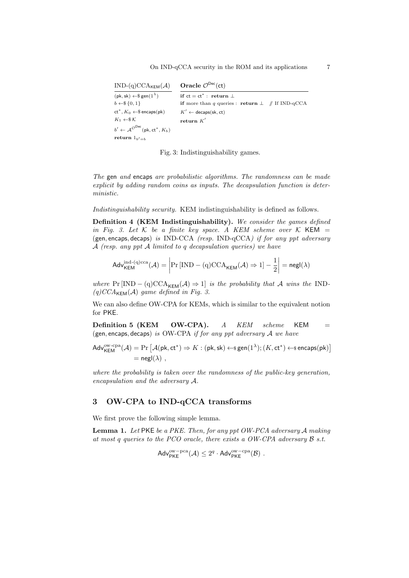```
IND-(q)CCA_{KEM}(\mathcal{A})(\mathsf{pk}, \mathsf{sk}) \leftarrow \$ \mathsf{gen}(1^\lambda)b \leftarrow \$ \{0, 1\}ct^*, K_0 \leftarrow \$ encaps(\textsf{pk})K_1 \leftarrow \$\mathcal{K}b' \leftarrow \mathcal{A}^{\mathcal{O} \mathsf{Dec}}(\mathsf{pk}, \mathsf{ct}^*, K_b)return \mathbf{1}_{b'=b}Oracle \mathcal{O}^{\mathsf{Dec}}(\mathsf{ct})if ct = ct^* : return \perpif more than q queries : return \perp // If IND-qCCA
                                                     K' \leftarrow decaps(sk, ct)
                                                     \mathbf{return}\;K'
```
Fig. 3: Indistinguishability games.

The gen and encaps are probabilistic algorithms. The randomness can be made explicit by adding random coins as inputs. The decapsulation function is deterministic.

Indistinguishability security. KEM indistinguishability is defined as follows.

Definition 4 (KEM Indistinguishability). We consider the games defined in Fig. [3.](#page-6-0) Let  $K$  be a finite key space. A KEM scheme over K KEM = (gen, encaps, decaps) is IND-CCA (resp. IND-qCCA) if for any ppt adversary  $\mathcal A$  (resp. any ppt  $\mathcal A$  limited to q decapsulation queries) we have

$$
Adv_{\mathsf{KEM}}^{\mathrm{ind}\text{-}(q)\mathrm{cca}}(\mathcal{A}) = \left| \Pr\left[\mathrm{IND} - (q)\mathrm{CCA}_{\mathsf{KEM}}(\mathcal{A}) \Rightarrow 1\right] - \frac{1}{2} \right| = \mathsf{negl}(\lambda)
$$

where  $Pr[IND - (q)CCA_{KFM}(A) \Rightarrow 1]$  is the probability that A wins the IND- $(q) CCA_{\mathsf{KEM}}(\mathcal{A})$  game defined in Fig. [3.](#page-6-0)

We can also define OW-CPA for KEMs, which is similar to the equivalent notion for PKE.

**Definition 5 (KEM OW-CPA).**  $A$  KEM scheme KEM  $=$ (gen, encaps, decaps) is OW-CPA if for any ppt adversary  $A$  we have

$$
Adv_{\mathsf{KEM}}^{\mathsf{ow-cpa}}(\mathcal{A}) = \Pr\left[\mathcal{A}(\mathsf{pk},\mathsf{ct}^*) \Rightarrow K : (\mathsf{pk},\mathsf{sk}) \leftarrow \mathsf{sgen}(1^{\lambda}); (K,\mathsf{ct}^*) \leftarrow \mathsf{s}\,\mathsf{encaps}(\mathsf{pk})\right] \\ = \mathsf{negl}(\lambda) \;,
$$

where the probability is taken over the randomness of the public-key generation, encapsulation and the adversary A.

# <span id="page-6-1"></span>3 OW-CPA to IND-qCCA transforms

We first prove the following simple lemma.

Lemma 1. Let PKE be a PKE. Then, for any ppt OW-PCA adversary A making at most q queries to the PCO oracle, there exists a OW-CPA adversary  $\beta$  s.t.

$$
\mathsf{Adv}_{\mathsf{PKE}}^{\mathrm{ow-pca}}(\mathcal{A}) \leq 2^q \cdot \mathsf{Adv}_{\mathsf{PKE}}^{\mathrm{ow-cpa}}(\mathcal{B})\ .
$$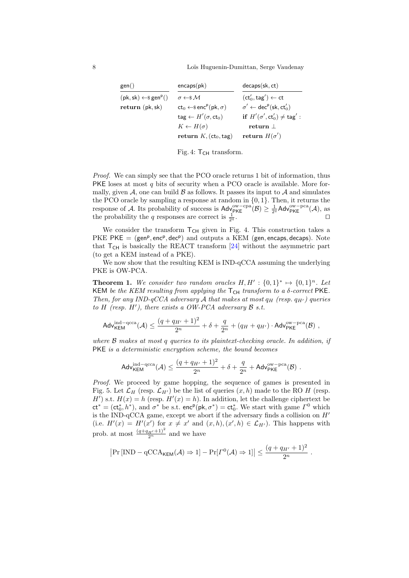<span id="page-7-0"></span>8 **B** Loïs Huguenin-Dumittan, Serge Vaudenay

| gen()                                     | encaps(pk)                                          | decaps(sk, ct)                                                 |
|-------------------------------------------|-----------------------------------------------------|----------------------------------------------------------------|
| $(pk, sk) \leftarrow$ gen <sup>p</sup> () | $\sigma \leftarrow \mathcal{S} \mathcal{M}$         | $(ct'_0, tag') \leftarrow ct$                                  |
| return (pk, sk)                           | $ct_0 \leftarrow$ senc <sup>p</sup> (pk, $\sigma$ ) | $\sigma' \leftarrow \text{dec}^p(\textsf{sk}, \textsf{ct}'_0)$ |
|                                           | $\text{tag} \leftarrow H'(\sigma, \text{ct}_0)$     | if $H'(\sigma', ct'_0) \neq taq'$ :                            |
|                                           | $K \leftarrow H(\sigma)$                            | return 1                                                       |
|                                           | return $K$ , $(ct_0, tag)$                          | return $H(\sigma')$                                            |



Proof. We can simply see that the PCO oracle returns 1 bit of information, thus PKE loses at most  $q$  bits of security when a PCO oracle is available. More formally, given A, one can build  $\beta$  as follows. It passes its input to A and simulates the PCO oracle by sampling a response at random in {0, 1}. Then, it returns the response of A. Its probability of success is  $\mathsf{Adv}_{\mathsf{PKE}}^{\mathsf{ow}-\mathsf{cpa}}(\mathcal{B}) \geq \frac{1}{2^q} \mathsf{Adv}_{\mathsf{PKE}}^{\mathsf{ow}-\mathsf{pca}}(\mathcal{A}),$  as the probability the q responses are correct is  $\frac{1}{2^c}$  $\frac{1}{q}$ .

We consider the transform  $T<sub>CH</sub>$  given in Fig. [4.](#page-7-0) This construction takes a PKE  $PKE = (gen<sup>p</sup>, enc<sup>p</sup>, dec<sup>p</sup>)$  and outputs a KEM (gen, encaps, decaps). Note that  $T_{CH}$  is basically the REACT transform [\[24\]](#page-30-12) without the asymmetric part (to get a KEM instead of a PKE).

<span id="page-7-1"></span>We now show that the resulting KEM is IND-qCCA assuming the underlying PKE is OW-PCA.

**Theorem 1.** We consider two random oracles  $H, H' : \{0, 1\}^* \mapsto \{0, 1\}^n$ . Let KEM be the KEM resulting from applying the  $T_{CH}$  transform to a  $\delta$ -correct PKE. Then, for any IND-qCCA adversary A that makes at most  $q_H$  (resp.  $q_{H'}$ ) queries to H (resp.  $H'$ ), there exists a OW-PCA adversary  $\mathcal B$  s.t.

$$
\mathsf{Adv}_{\mathsf{KEM}}^{\mathrm{ind-qcca}}(\mathcal{A}) \leq \frac{(q+q_{H'}+1)^2}{2^n} + \delta + \frac{q}{2^n} + (q_{H}+q_{H'}) \cdot \mathsf{Adv}_{\mathsf{PKE}}^{\mathrm{ow-pca}}(\mathcal{B}) \ ,
$$

where B makes at most q queries to its plaintext-checking oracle. In addition, if PKE is a deterministic encryption scheme, the bound becomes

$$
\mathsf{Adv}_{\mathsf{KEM}}^{\mathrm{ind-qcca}}(\mathcal{A}) \leq \frac{(q+q_{H'}+1)^2}{2^n} + \delta + \frac{q}{2^n} + \mathsf{Adv}_{\mathsf{PKE}}^{\mathrm{ow-pca}}(\mathcal{B})\ .
$$

Proof. We proceed by game hopping, the sequence of games is presented in Fig. [5.](#page-8-0) Let  $\mathcal{L}_H$  (resp.  $\mathcal{L}_{H'}$ ) be the list of queries  $(x, h)$  made to the RO H (resp. H') s.t.  $H(x) = h$  (resp.  $H'(x) = h$ ). In addition, let the challenge ciphertext be  $ct^* = (ct_0^*, h^*)$ , and  $\sigma^*$  be s.t. enc<sup>p</sup>(pk,  $\sigma^*$ ) = ct<sub>0</sub><sup>\*</sup>. We start with game  $\Gamma^0$  which is the IND-qCCA game, except we abort if the adversary finds a collision on  $H'$ (i.e.  $H'(x) = H'(x')$  for  $x \neq x'$  and  $(x, h), (x', h) \in \mathcal{L}_{H'}$ ). This happens with prob. at most  $\frac{(q+q_{H'}+1)^2}{2^n}$  and we have

$$
|\Pr[\text{IND} - \text{qCCA}_{\mathsf{KEM}}(\mathcal{A}) \Rightarrow 1] - \Pr[\Gamma^0(\mathcal{A}) \Rightarrow 1]| \leq \frac{(q + q_{H'} + 1)^2}{2^n}.
$$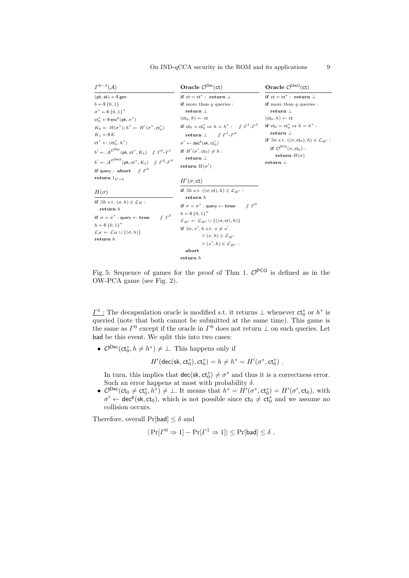<span id="page-8-0"></span>

| $\Gamma^{0-3}(\mathcal{A})$                                                                                                                                                                                                                                                                                                                                                                                                                                                                                                                                                                                                                       | Oracle $\mathcal{O}^{\text{Dec}}(\text{ct})$                                                                                                                                                                                                                                                                                                                                                                                                  | Oracle $\mathcal{O}^{\text{Dec2}}(\text{ct})$                                                                                                                                                                                                                                                                                                       |
|---------------------------------------------------------------------------------------------------------------------------------------------------------------------------------------------------------------------------------------------------------------------------------------------------------------------------------------------------------------------------------------------------------------------------------------------------------------------------------------------------------------------------------------------------------------------------------------------------------------------------------------------------|-----------------------------------------------------------------------------------------------------------------------------------------------------------------------------------------------------------------------------------------------------------------------------------------------------------------------------------------------------------------------------------------------------------------------------------------------|-----------------------------------------------------------------------------------------------------------------------------------------------------------------------------------------------------------------------------------------------------------------------------------------------------------------------------------------------------|
| $(\mathsf{pk}, \mathsf{sk}) \leftarrow \$ \mathsf{gen}$<br>$b \leftarrow \$ \{0, 1\}$<br>$\sigma^* \leftarrow \$\{0,1\}^n$<br>$ct_{0}^{*} \leftarrow \$ \text{enc}^{\text{p}}(\text{pk}, \sigma^{*})$<br>$K_0 \leftarrow H(\sigma^*): h^* \leftarrow H'(\sigma^*, ct^*)$<br>$K_1 \leftarrow \mathcal{S} \mathcal{K}$<br>$ct^* \leftarrow (ct^*, h^*)$<br>$b' \leftarrow \mathcal{A}^{\mathcal{O}Dec}(\mathsf{pk},\mathsf{ct}^*,K_b) \quad /\!\!/ \ \ \varGamma^0\text{-}\varGamma^1$<br>$b' \leftarrow \mathcal{A}^{\mathcal{O}Dec2}(\mathsf{pk},\mathsf{ct}^*, K_b) \quad /\!\!/ \ \Gamma^2 \text{-} \Gamma^3$<br>if query : abort $\# \Gamma^3$ | if $ct = ct^*$ : return $\perp$<br>if more than $q$ queries :<br>return $\perp$<br>$(ct_0, h) \leftarrow ct$<br>if $ct_0 = ct_0^*$ or $h = h^* : \# \Gamma^1 - \Gamma^3$<br>return $\perp$ // $\Gamma^1$ - $\Gamma^3$<br>$\sigma' \leftarrow \text{dec}^p(\text{sk. ct}'_0)$<br>if $H'(\sigma', ct_0) \neq h$ :<br>return $\perp$<br>return $H(\sigma')$                                                                                      | if $ct = ct^*$ : return $\perp$<br>if more than $q$ queries :<br>return $\perp$<br>$(ct_0, h) \leftarrow ct$<br><b>if</b> $ct_0 = ct_0^*$ or $h = h^*$ :<br>return $\perp$<br>if $\exists \sigma$ s.t. $((\sigma, ct_0), h) \in \mathcal{L}_{H'}$ :<br>if $\mathcal{O}^{\text{PCO}}(\sigma, \text{ct}_0)$ :<br>return $H(\sigma)$<br>return $\perp$ |
| return $1_{h'=h}$<br>$H(\sigma)$<br>if $\exists h$ s.t. $(\sigma, h) \in \mathcal{L}_H$ :<br>return h<br>$\mathbb{Z} T^3$<br>if $\sigma = \sigma^*$ : query $\leftarrow$ true<br>$h \leftarrow \$\{0,1\}^n$<br>$\mathcal{L}_H \leftarrow \mathcal{L}_H \cup \{(\sigma, h)\}\$<br>return $h$                                                                                                                                                                                                                                                                                                                                                       | $H'(\sigma,ct)$<br>if $\exists h$ s.t. $((\sigma, ct), h) \in \mathcal{L}_{H'}$ :<br>return $h$<br>$\mathbb{Z}^3$<br>if $\sigma = \sigma^*$ : query $\leftarrow$ true<br>$h \leftarrow \$\{0,1\}^n$<br>$\mathcal{L}_{H'} \leftarrow \mathcal{L}_{H'} \cup \{((\sigma, ct), h)\}\$<br>if $\exists x, x', h \text{ s.t. } x \neq x'$<br>$\wedge$ $(x, h) \in \mathcal{L}_{H}$<br>$\wedge$ $(x', h) \in \mathcal{L}_{m'}$ :<br>abort<br>return h |                                                                                                                                                                                                                                                                                                                                                     |

On IND-qCCA security in the ROM and its applications 9

Fig. 5: Sequence of games for the proof of Thm [1.](#page-7-1)  $\mathcal{O}^{PCO}$  is defined as in the OW-PCA game (see Fig. [2\)](#page-5-1).

 $\underline{\Gamma^1}$ : The decapsulation oracle is modified s.t. it returns  $\bot$  whenever  $ct_0^*$  or  $h^*$  is queried (note that both cannot be submitted at the same time). This game is the same as  $\Gamma^0$  except if the oracle in  $\Gamma^0$  does not return  $\bot$  on such queries. Let bad be this event. We split this into two cases:

•  $\mathcal{O}^{\text{Dec}}(\text{ct}_0^*, h \neq h^*) \neq \bot$ . This happens only if

$$
H'(\mathsf{dec}(\mathsf{sk},\mathsf{ct}^*_0),\mathsf{ct}^*_0)=h\neq h^*=H'(\sigma^*,\mathsf{ct}^*_0)\ .
$$

In turn, this implies that  $\text{dec}(\text{sk}, \text{ct}^*_0) \neq \sigma^*$  and thus it is a correctness error. Such an error happens at most with probability  $\delta$ .

•  $\mathcal{O}^{\text{Dec}}(\text{ct}_0 \neq \text{ct}_0^*, h^*) \neq \bot$ . It means that  $h^* = H'(\sigma^*, \text{ct}_0^*) = H'(\sigma', \text{ct}_0)$ , with  $\sigma' \leftarrow \text{dec}^p(\textsf{sk}, \textsf{ct}_0)$ , which is not possible since  $\textsf{ct}_0 \neq \textsf{ct}_0^*$  and we assume no collision occurs.

Therefore, overall  $Pr[bad] \leq \delta$  and

$$
|\Pr[\Gamma^0 \Rightarrow 1] - \Pr[\Gamma^1 \Rightarrow 1]| \leq \Pr[\mathsf{bad}] \leq \delta.
$$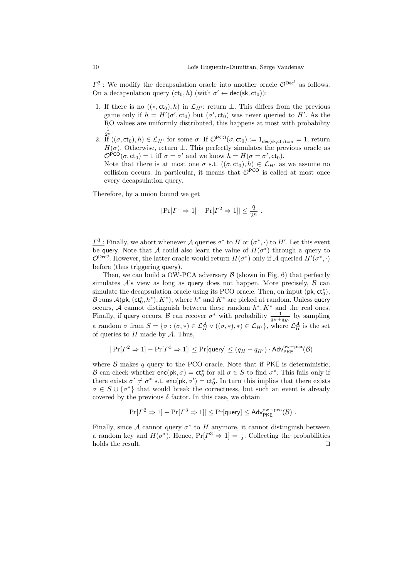$\underline{\Gamma^2}$ : We modify the decapsulation oracle into another oracle  $\mathcal{O}^{\text{Dec}^2}$  as follows. On a decapsulation query  $(ct_0, h)$  (with  $\sigma' \leftarrow \text{dec}(\textsf{sk}, ct_0)$ ):

- 1. If there is no  $((*, ct_0), h)$  in  $\mathcal{L}_{H'}$ : return ⊥. This differs from the previous game only if  $h = H'(\sigma', ct_0)$  but  $(\sigma', ct_0)$  was never queried to H'. As the RO values are uniformly distributed, this happens at most with probability 1  $\frac{1}{2^n}$ .
- 2. If  $((\sigma, ct_0), h) \in \mathcal{L}_{H'}$  for some  $\sigma$ : If  $\mathcal{O}^{\text{PCO}}(\sigma, ct_0) := 1_{\text{dec}(sk, ct_0)=\sigma} = 1$ , return  $H(\sigma)$ . Otherwise, return  $\perp$ . This perfectly simulates the previous oracle as  $\mathcal{O}^{\text{PCO}}(\sigma, \text{ct}_0) = 1$  iff  $\sigma = \sigma'$  and we know  $h = H(\sigma = \sigma', \text{ct}_0)$ .

Note that there is at most one  $\sigma$  s.t.  $((\sigma, ct_0), h) \in \mathcal{L}_{H'}$  as we assume no collision occurs. In particular, it means that  $\mathcal{O}^{PCO}$  is called at most once every decapsulation query.

Therefore, by a union bound we get

$$
|\Pr[\Gamma^1 \Rightarrow 1] - \Pr[\Gamma^2 \Rightarrow 1]| \le \frac{q}{2^n} .
$$

 $\underline{\Gamma}^3$ : Finally, we abort whenever A queries  $\sigma^*$  to H or  $(\sigma^*, \cdot)$  to H'. Let this event be query. Note that A could also learn the value of  $H(\sigma^*)$  through a query to  $\mathcal{O}^{\text{Dec2}}$ . However, the latter oracle would return  $H(\sigma^*)$  only if A queried  $H'(\sigma^*, \cdot)$ before (thus triggering query).

Then, we can build a OW-PCA adversary  $\beta$  (shown in Fig. [6\)](#page-10-0) that perfectly simulates  $\mathcal{A}$ 's view as long as query does not happen. More precisely,  $\beta$  can simulate the decapsulation oracle using its PCO oracle. Then, on input  $(\mathsf{pk}, \mathsf{ct}_0^*),$ B runs  $\mathcal{A}(\mathsf{pk},(\mathsf{ct}^*_0,h^*),K^*),$  where  $h^*$  and  $K^*$  are picked at random. Unless query occurs, A cannot distinguish between these random  $h^*, K^*$  and the real ones. Finally, if query occurs,  $\beta$  can recover  $\sigma^*$  with probability  $\frac{1}{q_H+q_{H'}}$  by sampling a random  $\sigma$  from  $S = {\sigma : (\sigma, *) \in \mathcal{L}_H^{\mathcal{A}} \vee ((\sigma, *), *) \in \mathcal{L}_{H'}},$  where  $\mathcal{L}_H^{\mathcal{A}}$  is the set of queries to  $H$  made by  $A$ . Thus,

$$
|\Pr[\varGamma^2 \Rightarrow 1]-\Pr[\varGamma^3 \Rightarrow 1]|\le \Pr[\text{query}]\le (q_H+q_{H'})\cdot \text{Adv}_{\text{PKE}}^{\text{ow-pca}}(\mathcal{B})
$$

where  $\beta$  makes q query to the PCO oracle. Note that if PKE is deterministic, B can check whether  $enc(pk, \sigma) = ct_0^*$  for all  $\sigma \in S$  to find  $\sigma^*$ . This fails only if there exists  $\sigma' \neq \sigma^*$  s.t.  $enc(pk, \sigma') = ct_0^*$ . In turn this implies that there exists  $\sigma \in S \cup {\sigma^*}$  that would break the correctness, but such an event is already covered by the previous  $\delta$  factor. In this case, we obtain

$$
|\Pr[P^2 \Rightarrow 1] - \Pr[P^3 \Rightarrow 1]| \leq \Pr[\mathsf{query}] \leq \mathsf{Adv}_{\mathsf{PKE}}^{\mathrm{ow-pca}}(\mathcal{B})\;.
$$

Finally, since A cannot query  $\sigma^*$  to H anymore, it cannot distinguish between a random key and  $H(\sigma^*)$ . Hence,  $Pr[I^3 \Rightarrow 1] = \frac{1}{2}$ . Collecting the probabilities holds the result.  $\Box$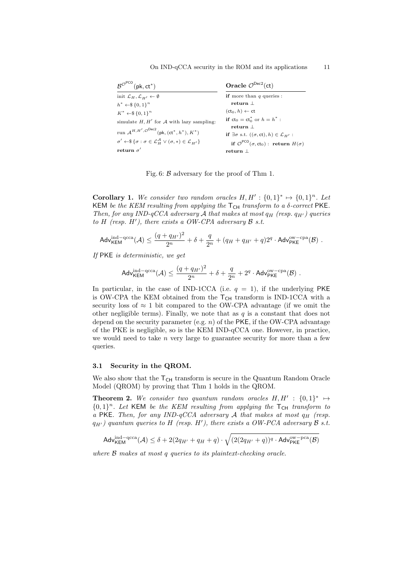On IND-qCCA security in the ROM and its applications 11

<span id="page-10-0"></span>

| $B^{\mathcal{O}^{PCO}}(\mathsf{pk},\mathsf{ct}^*)$                                                                                     | Oracle $\mathcal{O}^{\text{Dec2}}(\text{ct})$                       |
|----------------------------------------------------------------------------------------------------------------------------------------|---------------------------------------------------------------------|
| init $\mathcal{L}_H, \mathcal{L}_{H'} \leftarrow \emptyset$                                                                            | <b>if</b> more than $q$ queries :                                   |
| $h^* \leftarrow \$\{0,1\}^n$                                                                                                           | return $\perp$                                                      |
| $K^* \leftarrow \$\{0,1\}^n$                                                                                                           | $(ct_0, h) \leftarrow ct$                                           |
| simulate $H, H'$ for A with lazy sampling:                                                                                             | <b>if</b> $ct_0 = ct_0^*$ or $h = h^*$ :                            |
|                                                                                                                                        | return                                                              |
| run $A^{H,H',\mathcal{O}^{Dec2}}$ (pk, (ct <sup>*</sup> , h <sup>*</sup> ), $K^*$ )                                                    | if $\exists \sigma$ s.t. $((\sigma, ct), h) \in \mathcal{L}_{H'}$ : |
| $\sigma' \leftarrow \$\{\sigma : \sigma \in \mathcal{L}_{\mathcal{U}}^{\mathcal{A}} \vee (\sigma, *) \in \mathcal{L}_{\mathcal{U}}\}\$ | if $\mathcal{O}^{\text{PCO}}(\sigma, ct_0)$ : return $H(\sigma)$    |
| return $\sigma'$                                                                                                                       | return $\perp$                                                      |

Fig. 6: B adversary for the proof of Thm [1.](#page-7-1)

**Corollary 1.** We consider two random oracles  $H, H' : \{0, 1\}^* \mapsto \{0, 1\}^n$ . Let KEM be the KEM resulting from applying the  $T_{CH}$  transform to a  $\delta$ -correct PKE. Then, for any IND-qCCA adversary A that makes at most  $q_H$  (resp.  $q_{H'}$ ) queries to H (resp.  $H'$ ), there exists a OW-CPA adversary  $\mathcal B$  s.t.

$$
\mathsf{Adv}_{\mathsf{KEM}}^{\mathrm{ind-qcca}}(\mathcal{A}) \leq \frac{(q+q_{H'})^2}{2^n} + \delta + \frac{q}{2^n} + (q_{H}+q_{H'}+q)2^q \cdot \mathsf{Adv}_{\mathsf{PKE}}^{\mathrm{ow-cpa}}(\mathcal{B})\ .
$$

If PKE is deterministic, we get

$$
\mathsf{Adv}_{\mathsf{KEM}}^{\mathrm{ind-qcca}}(\mathcal{A}) \leq \frac{(q+q_{H'})^2}{2^n} + \delta + \frac{q}{2^n} + 2^q \cdot \mathsf{Adv}_{\mathsf{PKE}}^{\mathrm{ow-cpa}}(\mathcal{B})\ .
$$

In particular, in the case of IND-1CCA (i.e.  $q = 1$ ), if the underlying PKE is OW-CPA the KEM obtained from the  $T<sub>CH</sub>$  transform is IND-1CCA with a security loss of  $\approx 1$  bit compared to the OW-CPA advantage (if we omit the other negligible terms). Finally, we note that as  $q$  is a constant that does not depend on the security parameter (e.g.  $n$ ) of the PKE, if the OW-CPA advantage of the PKE is negligible, so is the KEM IND-qCCA one. However, in practice, we would need to take  $n$  very large to guarantee security for more than a few queries.

#### 3.1 Security in the QROM.

We also show that the  $T_{CH}$  transform is secure in the Quantum Random Oracle Model (QROM) by proving that Thm [1](#page-7-1) holds in the QROM.

**Theorem 2.** We consider two quantum random oracles  $H, H' : \{0, 1\}^* \mapsto$  ${0,1}^n$ . Let KEM be the KEM resulting from applying the T<sub>CH</sub> transform to a PKE. Then, for any IND-qCCA adversary  $A$  that makes at most  $q_H$  (resp.  $q_{H'}$ ) quantum queries to H (resp. H'), there exists a OW-PCA adversary  $\beta$  s.t.

<span id="page-10-1"></span>
$$
\mathsf{Adv}_{\mathsf{KEM}}^{\mathsf{ind}-\mathsf{qcca}}(\mathcal{A}) \leq \delta + 2(2q_{H'}+q_{H}+q) \cdot \sqrt{(2(2q_{H'}+q))^{q} \cdot \mathsf{Adv}_{\mathsf{PKE}}^{\mathsf{ow}-\mathsf{pca}}(\mathcal{B})}
$$

where  $\beta$  makes at most q queries to its plaintext-checking oracle.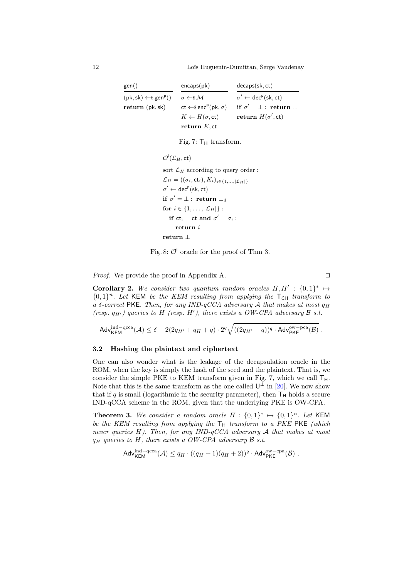<span id="page-11-1"></span>12 Loïs Huguenin-Dumittan, Serge Vaudenay

| gen()                                       | encaps(pk)                                        | decaps(sk, ct)                                              |
|---------------------------------------------|---------------------------------------------------|-------------------------------------------------------------|
| $(pk, sk) \leftarrow$ gen <sup>p</sup> $()$ | $\sigma \leftarrow \$\mathcal{M}$                 | $\sigma' \leftarrow \text{dec}^p(\textsf{sk}, \textsf{ct})$ |
| return (pk, sk)                             | $ct \leftarrow$ senc <sup>p</sup> (pk, $\sigma$ ) | if $\sigma' = \bot$ : return $\bot$                         |
|                                             | $K \leftarrow H(\sigma, ct)$                      | return $H(\sigma', ct)$                                     |
|                                             | return $K$ , ct                                   |                                                             |

Fig. 7:  $T_H$  transform.

 $\mathcal{O}^{\mathsf{i}}(\mathcal{L}_H,\mathsf{ct})$ 

<span id="page-11-2"></span>sort  $\mathcal{L}_H$  according to query order :  $\mathcal{L}_H = ((\sigma_i, \text{ct}_i), K_i)_{i \in \{1, ..., |\mathcal{L}_H|\}}$  $\sigma' \leftarrow \mathsf{dec}^{\mathsf{p}}(\mathsf{sk}, \mathsf{ct})$ if  $\sigma' = \bot: \ \mathbf{return} \ \bot_d$ for  $i \in \{1, \ldots, |\mathcal{L}_H|\}$ : if  $ct_i = ct$  and  $\sigma' = \sigma_i$  : return i return ⊥

Fig. 8:  $\mathcal{O}^{\dagger}$  oracle for the proof of Thm [3.](#page-11-0)

*Proof.* We provide the proof in Appendix [A.](#page-32-0)  $\Box$ 

**Corollary 2.** We consider two quantum random oracles  $H, H' : \{0, 1\}^* \mapsto$  ${0,1}^n$ . Let KEM be the KEM resulting from applying the  $T_{CH}$  transform to a  $\delta$ -correct PKE. Then, for any IND-qCCA adversary A that makes at most  $q_H$ (resp.  $q_{H'}$ ) queries to H (resp. H'), there exists a OW-CPA adversary  $\beta$  s.t.

$$
\mathsf{Adv}_{\mathsf{KEM}}^{\mathrm{ind}-\mathrm{qcca}}(\mathcal{A}) \leq \delta + 2(2q_{H'}+q_{H}+q) \cdot 2^q \sqrt{((2q_{H'}+q))^q \cdot \mathsf{Adv}_{\mathsf{PKE}}^{\mathrm{ow}-\mathrm{pca}}(\mathcal{B})} \ .
$$

# 3.2 Hashing the plaintext and ciphertext

One can also wonder what is the leakage of the decapsulation oracle in the ROM, when the key is simply the hash of the seed and the plaintext. That is, we consider the simple PKE to KEM transform given in Fig. [7,](#page-11-1) which we call  $T_H$ . Note that this is the same transform as the one called  $\mathsf{U}^{\perp}$  in [\[20\]](#page-30-4). We now show that if q is small (logarithmic in the security parameter), then  $T_H$  holds a secure IND-qCCA scheme in the ROM, given that the underlying PKE is OW-CPA.

<span id="page-11-0"></span>**Theorem 3.** We consider a random oracle  $H : \{0,1\}^* \mapsto \{0,1\}^n$ . Let KEM be the KEM resulting from applying the  $T_H$  transform to a PKE PKE (which never queries  $H$ ). Then, for any IND-qCCA adversary  $A$  that makes at most  $q_H$  queries to H, there exists a OW-CPA adversary B s.t.

$$
\mathsf{Adv}_{\mathsf{KEM}}^{\mathsf{ind-qcca}}(\mathcal{A}) \leq q_H \cdot ((q_H + 1)(q_H + 2))^q \cdot \mathsf{Adv}_{\mathsf{PKE}}^{\mathsf{ow-cpa}}(\mathcal{B}) \ .
$$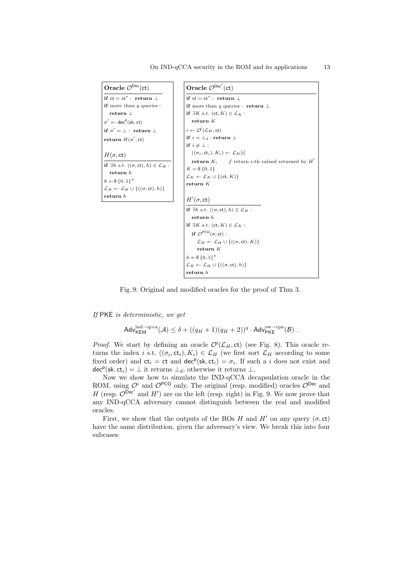<span id="page-12-0"></span>

| Oracle $\mathcal{O}^{\text{Dec}}(\text{ct})$                                                                                                                                  | Oracle $\mathcal{O}^{\mathsf{Dec}'}(\mathsf{ct})$                                                                                                                                  |
|-------------------------------------------------------------------------------------------------------------------------------------------------------------------------------|------------------------------------------------------------------------------------------------------------------------------------------------------------------------------------|
| if $ct = ct^*$ : return $\perp$                                                                                                                                               | if $ct = ct^*$ : return $\perp$                                                                                                                                                    |
| <b>if</b> more than $q$ queries :                                                                                                                                             | if more than q queries : return $\perp$                                                                                                                                            |
| return $\perp$                                                                                                                                                                | if $\exists K$ s.t. $(ct, K) \in \mathcal{L}_K$ :                                                                                                                                  |
| $\sigma' \leftarrow \text{dec}^p(\text{sk}, ct)$                                                                                                                              | return $K$                                                                                                                                                                         |
| if $\sigma' = \bot$ : return $\bot$                                                                                                                                           | $i \leftarrow \mathcal{O}^{\mathsf{I}}(\mathcal{L}_H, \mathsf{ct})$                                                                                                                |
| return $H(\sigma', ct)$                                                                                                                                                       | if $i = \perp_d$ : return $\perp$                                                                                                                                                  |
|                                                                                                                                                                               | if $i \neq \perp$ :                                                                                                                                                                |
| $H(\sigma,ct)$                                                                                                                                                                | $((\sigma_i, \text{ct}_i), K_i) \leftarrow L_H[i]$                                                                                                                                 |
| if $\exists h$ s.t. $((\sigma, ct), h) \in \mathcal{L}_H$ :<br>return h<br>$h \leftarrow \$\{0,1\}^n$<br>$\mathcal{L}_H \leftarrow \mathcal{L}_H \cup \{((\sigma, ct), h)\}\$ | <b>return</b> $K_i$ // return <i>i</i> -th valued returned by $H'$<br>$K \leftarrow \$ {0, 1}<br>$\mathcal{L}_K \leftarrow \mathcal{L}_K \cup \{(\mathsf{ct}, K)\}\$<br>return $K$ |
| return h                                                                                                                                                                      | $H'(\sigma,ct)$                                                                                                                                                                    |
|                                                                                                                                                                               | if $\exists h$ s.t. $((\sigma, ct), h) \in \mathcal{L}_H$ :<br>return h<br>if $\exists K$ s.t. $(ct, K) \in \mathcal{L}_K$ :                                                       |
|                                                                                                                                                                               | if $\mathcal{O}^{\text{PCO}}(\sigma, ct)$ :                                                                                                                                        |
|                                                                                                                                                                               | $\mathcal{L}_H \leftarrow \mathcal{L}_H \cup \{((\sigma, ct), K)\}\$                                                                                                               |
|                                                                                                                                                                               | return $K$                                                                                                                                                                         |
|                                                                                                                                                                               | $h \leftarrow \$\{0,1\}^n$                                                                                                                                                         |
|                                                                                                                                                                               | $\mathcal{L}_H \leftarrow \mathcal{L}_H \cup \{((\sigma, ct), h)\}\$                                                                                                               |
|                                                                                                                                                                               | return h                                                                                                                                                                           |

Fig. 9: Original and modified oracles for the proof of Thm [3.](#page-11-0)

If PKE is deterministic, we get

$$
\mathsf{Adv}_{\mathsf{KEM}}^{\mathsf{ind-qcca}}(\mathcal{A}) \leq \delta + ((q_H + 1)(q_H + 2))^q \cdot \mathsf{Adv}_{\mathsf{PKE}}^{\mathsf{ow-cpa}}(\mathcal{B}) \ .
$$

*Proof.* We start by defining an oracle  $\mathcal{O}(\mathcal{L}_H, \text{ct})$  (see Fig. [8\)](#page-11-2). This oracle returns the index *i* s.t.  $((\sigma_i, ct_i), K_i) \in \mathcal{L}_H$  (we first sort  $\mathcal{L}_H$  according to some fixed order) and  $ct_i = ct$  and  $dec^p(sk, ct_i) = \sigma_i$ . If such a *i* does not exist and  $\det^p(\mathsf{sk}, \mathsf{ct}_i) = \bot$  it returns  $\bot_d$ , otherwise it returns  $\bot$ .

Now we show how to simulate the IND-qCCA decapsulation oracle in the ROM, using  $\mathcal{O}^i$  and  $\mathcal{O}^{\text{PCO}}$  only. The original (resp. modified) oracles  $\mathcal{O}^{\text{Dec}}$  and H (resp.  $\mathcal{O}^{\text{Dec}}$  and H') are on the left (resp. right) in Fig. [9.](#page-12-0) We now prove that any IND-qCCA adversary cannot distinguish between the real and modified oracles.

First, we show that the outputs of the ROs H and H' on any query ( $\sigma$ , ct) have the same distribution, given the adversary's view. We break this into four subcases: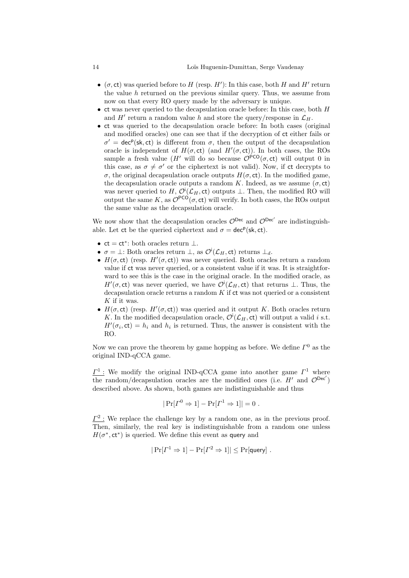- $(\sigma, ct)$  was queried before to H (resp. H'): In this case, both H and H' return the value  $h$  returned on the previous similar query. Thus, we assume from now on that every RO query made by the adversary is unique.
- ct was never queried to the decapsulation oracle before: In this case, both H and H' return a random value h and store the query/response in  $\mathcal{L}_H$ .
- ct was queried to the decapsulation oracle before: In both cases (original and modified oracles) one can see that if the decryption of ct either fails or  $\sigma' = \text{dec}^p(\text{sk}, \text{ct})$  is different from  $\sigma$ , then the output of the decapsulation oracle is independent of  $H(\sigma, ct)$  (and  $H'(\sigma, ct)$ ). In both cases, the ROs sample a fresh value (H' will do so because  $\mathcal{O}^{PCO}(\sigma, ct)$  will output 0 in this case, as  $\sigma \neq \sigma'$  or the ciphertext is not valid). Now, if ct decrypts to σ, the original decapsulation oracle outputs H(σ, ct). In the modified game, the decapsulation oracle outputs a random K. Indeed, as we assume  $(\sigma, ct)$ was never queried to H,  $\mathcal{O}^{\mathsf{i}}(\mathcal{L}_H, \mathsf{ct})$  outputs  $\perp$ . Then, the modified RO will output the same K, as  $\mathcal{O}^{PCO}(\sigma, ct)$  will verify. In both cases, the ROs output the same value as the decapsulation oracle.

We now show that the decapsulation oracles  $\mathcal{O}^{\text{Dec}}$  and  $\mathcal{O}^{\text{Dec}}'$  are indistinguishable. Let ct be the queried ciphertext and  $\sigma = \text{dec}^p(\text{sk}, \text{ct})$ .

- $ct = ct^*$ : both oracles return  $\perp$ .
- $\sigma = \bot$ : Both oracles return  $\bot$ , as  $\mathcal{O}^{\dagger}(\mathcal{L}_H, c\mathsf{t})$  returns  $\bot_d$ .
- $H(\sigma, ct)$  (resp.  $H'(\sigma, ct)$ ) was never queried. Both oracles return a random value if ct was never queried, or a consistent value if it was. It is straightforward to see this is the case in the original oracle. In the modified oracle, as  $H'(\sigma, ct)$  was never queried, we have  $\mathcal{O}(\mathcal{L}_H, ct)$  that returns  $\perp$ . Thus, the decapsulation oracle returns a random  $K$  if  $ct$  was not queried or a consistent  $K$  if it was.
- $H(\sigma, ct)$  (resp.  $H'(\sigma, ct)$ ) was queried and it output K. Both oracles return K. In the modified decapsulation oracle,  $\mathcal{O}^{\mathsf{i}}(\mathcal{L}_H, \mathsf{ct})$  will output a valid i s.t.  $H'(\sigma_i, \text{ct}) = h_i$  and  $h_i$  is returned. Thus, the answer is consistent with the RO.

Now we can prove the theorem by game hopping as before. We define  $\Gamma^0$  as the original IND-qCCA game.

 $\underline{\Gamma}^1$ : We modify the original IND-qCCA game into another game  $\Gamma^1$  where the random/decapsulation oracles are the modified ones (i.e.  $H'$  and  $\mathcal{O}^{\text{Dec}}$ ) described above. As shown, both games are indistinguishable and thus

$$
|\Pr[\Gamma^0 \Rightarrow 1] - \Pr[\Gamma^1 \Rightarrow 1]| = 0.
$$

 $\underline{\Gamma^2}$ : We replace the challenge key by a random one, as in the previous proof. Then, similarly, the real key is indistinguishable from a random one unless  $H(\sigma^*, ct^*)$  is queried. We define this event as query and

$$
|\Pr[I^1 \Rightarrow 1] - \Pr[I^2 \Rightarrow 1]| \le \Pr[\text{query}] \; .
$$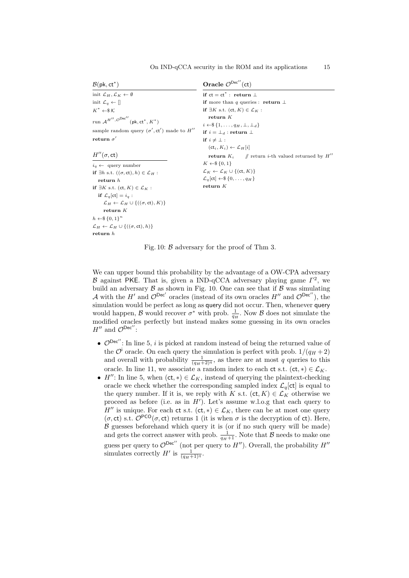<span id="page-14-0"></span>

| $\mathcal{B}(\mathsf{pk},\mathsf{ct}^*)$                                                                       | Oracle $\mathcal{O}^{\mathsf{Dec}''}(\mathsf{ct})$                  |
|----------------------------------------------------------------------------------------------------------------|---------------------------------------------------------------------|
| init $\mathcal{L}_H, \mathcal{L}_K \leftarrow \emptyset$                                                       | if $ct = ct^*$ : return $\perp$                                     |
| init $\mathcal{L}_q \leftarrow []$                                                                             | <b>if</b> more than q queries : <b>return</b> $\perp$               |
| $K^* \leftarrow \& \mathcal{K}$                                                                                | if $\exists K$ s.t. $(ct, K) \in \mathcal{L}_K$ :                   |
| run $\mathcal{A}^{H^{\prime \prime},\,\mathcal{O}^{{\rm Dec}^{\prime \prime}}}(\mathrm{pk},\mathrm{ct}^*,K^*)$ | return $K$                                                          |
|                                                                                                                | $i \leftarrow \$\{1,\ldots,q_H,\perp,\perp_d\}$                     |
| sample random query $(\sigma', ct')$ made to $H''$                                                             | if $i = \perp_d$ : return $\perp$                                   |
| return $\sigma'$                                                                                               | if $i \neq \perp$ :                                                 |
|                                                                                                                | $(\mathsf{ct}_i, K_i) \leftarrow \mathcal{L}_H[i]$                  |
| $H''(\sigma,ct)$                                                                                               | <b>return</b> $K_i$ // return <i>i</i> -th valued returned by $H''$ |
| $i_q \leftarrow$ query number                                                                                  | $K \leftarrow \$ \{0, 1\}$                                          |
| if $\exists h \text{ s.t. } ((\sigma, ct), h) \in \mathcal{L}_H$ :                                             | $\mathcal{L}_K \leftarrow \mathcal{L}_K \cup \{(\mathsf{ct}, K)\}\$ |
| return $h$                                                                                                     | $\mathcal{L}_q[\mathsf{ct}] \leftarrow \$\{0,\ldots,q_H\}$          |
| if $\exists K$ s.t. $(ct, K) \in \mathcal{L}_K$ :                                                              | return K                                                            |
| if $\mathcal{L}_q[\text{ct}] = i_q$ :                                                                          |                                                                     |
| $\mathcal{L}_H \leftarrow \mathcal{L}_H \cup \{((\sigma, ct), K)\}\$                                           |                                                                     |
| return $K$                                                                                                     |                                                                     |
| $h \leftarrow \$\{0,1\}^n$                                                                                     |                                                                     |
| $\mathcal{L}_H \leftarrow \mathcal{L}_H \cup \{((\sigma, ct), h)\}\$                                           |                                                                     |
| return h                                                                                                       |                                                                     |

On IND-qCCA security in the ROM and its applications 15

Fig. 10:  $\beta$  adversary for the proof of Thm [3.](#page-11-0)

We can upper bound this probability by the advantage of a OW-CPA adversary B against PKE. That is, given a IND-qCCA adversary playing game  $\Gamma^2$ , we build an adversary  $\beta$  as shown in Fig. [10.](#page-14-0) One can see that if  $\beta$  was simulating A with the H' and  $\mathcal{O}^{\text{Dec}}$ ' oracles (instead of its own oracles H'' and  $\mathcal{O}^{\text{Dec}}'$ ), the simulation would be perfect as long as query did not occur. Then, whenever query would happen,  $\beta$  would recover  $\sigma^*$  with prob.  $\frac{1}{q_H}$ . Now  $\beta$  does not simulate the modified oracles perfectly but instead makes some guessing in its own oracles  $H''$  and  $\mathcal{O}^{\mathsf{Dec}''}$ :

- $\mathcal{O}^{\text{Dec}}'$ : In line 5, i is picked at random instead of being the returned value of the  $\mathcal{O}^{\dagger}$  oracle. On each query the simulation is perfect with prob.  $1/(q_H + 2)$ and overall with probability  $\frac{1}{(q_H+2)^q}$ , as there are at most q queries to this oracle. In line 11, we associate a random index to each ct s.t. (ct,  $*\in \mathcal{L}_K$ .
- $H''$ : In line 5, when  $(ct, *) \in \mathcal{L}_K$ , instead of querying the plaintext-checking oracle we check whether the corresponding sampled index  $\mathcal{L}_q[\mathsf{ct}]$  is equal to the query number. If it is, we reply with K s.t.  $(ct, K) \in \mathcal{L}_K$  otherwise we proceed as before (i.e. as in  $H'$ ). Let's assume w.l.o.g that each query to H<sup>''</sup> is unique. For each ct s.t. (ct, \*)  $\in \mathcal{L}_K$ , there can be at most one query  $(\sigma, ct)$  s.t.  $\mathcal{O}^{PCO}(\sigma, ct)$  returns 1 (it is when  $\sigma$  is the decryption of ct). Here,  $B$  guesses beforehand which query it is (or if no such query will be made) and gets the correct answer with prob.  $\frac{1}{q_H+1}$ . Note that  $\mathcal B$  needs to make one guess per query to  $\mathcal{O}^{\mathsf{Dec}^{\prime\prime}}$  (not per query to  $H^{\prime\prime}$ ). Overall, the probability  $H^{\prime\prime}$ simulates correctly  $H'$  is  $\frac{1}{(q_H+1)^q}$ .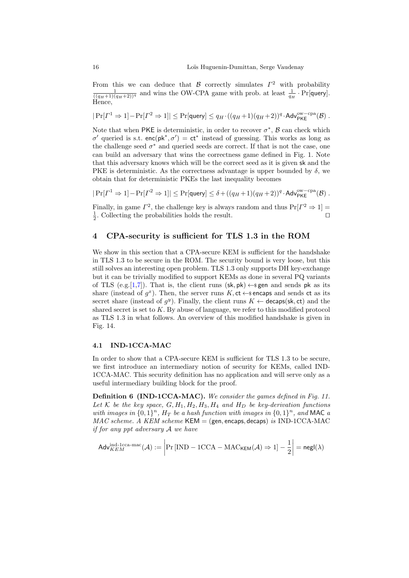From this we can deduce that  $\beta$  correctly simulates  $\Gamma^2$  with probability  $\frac{1}{((q_H+1)(q_H+2))^q}$  and wins the OW-CPA game with prob. at least  $\frac{1}{q_H}$ . Pr[query]. Hence,

$$
|\Pr[\varGamma^1 \Rightarrow 1] - \Pr[\varGamma^2 \Rightarrow 1]| \leq \Pr[\mathsf{query}] \leq q_H \cdot ((q_H + 1)(q_H + 2))^q \cdot \mathsf{Adv}_{\mathsf{PKE}}^{\mathsf{ow-cpa}}(\mathcal{B}) \; .
$$

Note that when PKE is deterministic, in order to recover  $\sigma^*$ ,  $\beta$  can check which  $\sigma'$  queried is s.t. enc(pk<sup>\*</sup>,  $\sigma'$ ) = ct<sup>\*</sup> instead of guessing. This works as long as the challenge seed  $\sigma^*$  and queried seeds are correct. If that is not the case, one can build an adversary that wins the correctness game defined in Fig. [1.](#page-5-0) Note that this adversary knows which will be the correct seed as it is given sk and the PKE is deterministic. As the correctness advantage is upper bounded by  $\delta$ , we obtain that for deterministic PKEs the last inequality becomes

$$
|\Pr[\varGamma^1 \Rightarrow 1] - \Pr[\varGamma^2 \Rightarrow 1]| \leq \Pr[\mathsf{query}] \leq \delta + ((q_H + 1)(q_H + 2))^q \cdot \mathsf{Adv}_{\mathsf{PKE}}^{\mathsf{ow-cpa}}(\mathcal{B}) \; .
$$

Finally, in game  $\Gamma^2$ , the challenge key is always random and thus  $Pr[\Gamma^2 \Rightarrow 1] =$  $\frac{1}{2}$ . Collecting the probabilities holds the result.

# <span id="page-15-0"></span>4 CPA-security is sufficient for TLS 1.3 in the ROM

We show in this section that a CPA-secure KEM is sufficient for the handshake in TLS 1.3 to be secure in the ROM. The security bound is very loose, but this still solves an interesting open problem. TLS 1.3 only supports DH key-exchange but it can be trivially modified to support KEMs as done in several PQ variants of TLS (e.g.[\[1,](#page-29-0)[7\]](#page-29-5)). That is, the client runs (sk, pk)  $\leftarrow$  gen and sends pk as its share (instead of  $g^x$ ). Then, the server runs K, ct  $\leftarrow$  sencaps and sends ct as its secret share (instead of  $g^y$ ). Finally, the client runs  $K \leftarrow$  decaps(sk, ct) and the shared secret is set to  $K$ . By abuse of language, we refer to this modified protocol as TLS 1.3 in what follows. An overview of this modified handshake is given in Fig. [14.](#page-23-0)

## 4.1 IND-1CCA-MAC

In order to show that a CPA-secure KEM is sufficient for TLS 1.3 to be secure, we first introduce an intermediary notion of security for KEMs, called IND-1CCA-MAC. This security definition has no application and will serve only as a useful intermediary building block for the proof.

Definition 6 (IND-1CCA-MAC). We consider the games defined in Fig. [11.](#page-16-0) Let K be the key space,  $G, H_1, H_2, H_3, H_4$  and  $H_D$  be key-derivation functions with images in  $\{0,1\}^n$ ,  $H_T$  be a hash function with images in  $\{0,1\}^n$ , and MAC a  $MAC$  scheme. A KEM scheme KEM = (gen, encaps, decaps) is IND-1CCA-MAC if for any ppt adversary A we have

$$
\mathsf{Adv}_{KEM}^{\mathrm{ind}\text{-1cca-mac}}(\mathcal{A}) := \left| \Pr\left[\text{IND} - \text{1CCA} - \text{MAC}_{\mathsf{KEM}}(\mathcal{A}) \Rightarrow 1\right] - \frac{1}{2} \right| = \mathsf{negl}(\lambda)
$$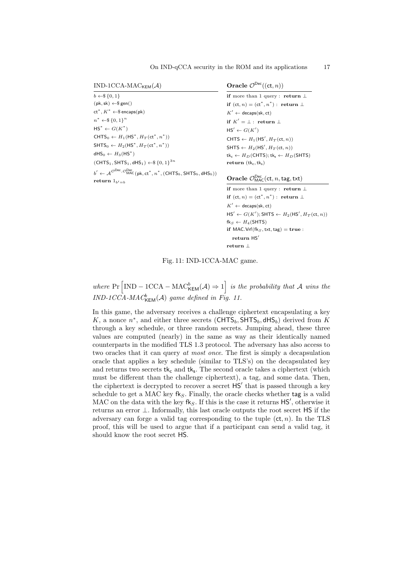<span id="page-16-0"></span> $IND-1CCA-MAC_{KEM}(\mathcal{A})$ 

```
b \leftarrow \$ \{0, 1\}(\mathsf{pk}, \mathsf{sk}) \leftarrow \$ \mathsf{gen}(x)ct^*, K^* \leftarrow \$ encaps(\text{pk})n^* \leftarrow \$\{0,1\}^nHS^* \leftarrow G(K^*)CHTS_0 \leftarrow H_1(HS^*, H_T(\text{ct}^*, n^*))\mathsf{SHTS}_0 \leftarrow H_2(\mathsf{HS}^*, H_T(\mathsf{ct}^*, n^*))dHS_0 \leftarrow H_3(HS^*)(CHTS<sub>1</sub>, SHTS<sub>1</sub>, dHS<sub>1</sub>) ← $ {0, 1}<sup>3n</sup>
 b' \leftarrow \mathcal{A}^{\mathcal{O} \text{Dec}}, \mathcal{O}^{\text{Dec}}_{\text{MAC}}(\textsf{pk}, \textsf{ct}^*, n^*, (\textsf{CHTS}_b, \textsf{SHTS}_b, \textsf{dHS}_b))return 1_{b'=b}
```
Oracle  $\mathcal{O}^{\mathsf{Dec}}((\mathsf{ct}, n))$ 

if more than 1 query : return  $\perp$ if  $(ct, n) = (ct^*, n^*)$ : return  $\perp$  $K' \leftarrow$  decaps(sk, ct) if  $K' = \bot$ : return  $\bot$  $\mathsf{HS}' \leftarrow G(K')$ CHTS  $\leftarrow H_1(\text{HS}', H_T(\text{ct}, n))$ SHTS  $\leftarrow H_2(\textsf{HS}', H_T(\textsf{ct}, n))$  $tk_c \leftarrow H_D(\text{CHTS}); tk_s \leftarrow H_D(\text{SHTS})$ return  $(tk_c, tk_s)$ 

Oracle  $\mathcal{O}^{\mathsf{Dec}}_{\mathsf{MAC}}(\mathsf{ct}, n, \mathsf{tag}, \mathsf{txt})$ 

```
if more than 1 query : return ⊥
if (ct, n) = (ct^*, n^*): return \perpK' \leftarrow decaps(sk, ct)
\mathsf{HS}' \leftarrow G(K'); \mathsf{SHTS} \leftarrow H_2(\mathsf{HS}', H_T(\mathsf{ct}, n))fk_S \leftarrow H_4(SHTS)if MAC.Vrf(fk_S, txt, tag) = true :
   return HS<sup>'</sup>
return ⊥
```
# Fig. 11: IND-1CCA-MAC game.

where  $Pr \left[ IND - 1CCA - MAC_{\mathsf{KEM}}^b(\mathcal{A}) \Rightarrow 1 \right]$  is the probability that A wins the  $IND\text{-}1CCA\text{-}MAC^b_{\mathsf{KEM}}(\mathcal{A})$  game defined in Fig. [11.](#page-16-0)

In this game, the adversary receives a challenge ciphertext encapsulating a key K, a nonce  $n^*$ , and either three secrets (CHTS<sub>b</sub>, SHTS<sub>b</sub>, dHS<sub>b</sub>) derived from K through a key schedule, or three random secrets. Jumping ahead, these three values are computed (nearly) in the same as way as their identically named counterparts in the modified TLS 1.3 protocol. The adversary has also access to two oracles that it can query at most once. The first is simply a decapsulation oracle that applies a key schedule (similar to TLS's) on the decapsulated key and returns two secrets  $tk_c$  and  $tk_s$ . The second oracle takes a ciphertext (which must be different than the challenge ciphertext), a tag, and some data. Then, the ciphertext is decrypted to recover a secret  $HS'$  that is passed through a key schedule to get a MAC key  $f_{S}$ . Finally, the oracle checks whether tag is a valid MAC on the data with the key  $\mathsf{fk}_S$ . If this is the case it returns  $\mathsf{HS}'$ , otherwise it returns an error  $\perp$ . Informally, this last oracle outputs the root secret HS if the adversary can forge a valid tag corresponding to the tuple  $(ct, n)$ . In the TLS proof, this will be used to argue that if a participant can send a valid tag, it should know the root secret HS.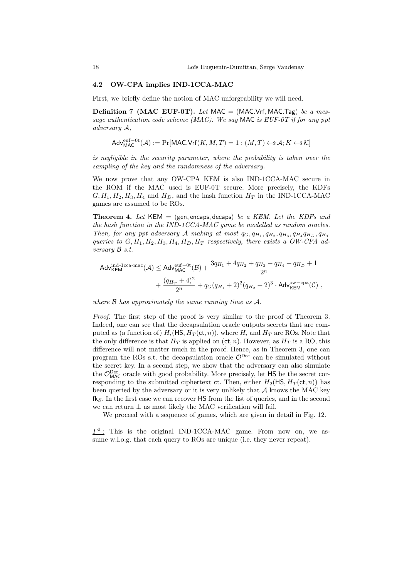#### 4.2 OW-CPA implies IND-1CCA-MAC

First, we briefly define the notion of MAC unforgeability we will need.

**Definition 7 (MAC EUF-0T).** Let MAC = (MAC.Vrf, MAC.Tag) be a message authentication code scheme (MAC). We say MAC is EUF-0T if for any ppt adversary A,

<span id="page-17-0"></span>
$$
\mathsf{Adv}^{\mathrm{euf}-0\mathrm{t}}_{\mathsf{MAC}}(\mathcal{A}):=\Pr[\mathsf{MAC}.\mathsf{Vrf}(K,M,T)=1:(M,T)\leftarrow\!\!\!\ast\mathcal{A};K\leftarrow\!\!\!\ast\mathcal{K}]
$$

is negligible in the security parameter, where the probability is taken over the sampling of the key and the randomness of the adversary.

We now prove that any OW-CPA KEM is also IND-1CCA-MAC secure in the ROM if the MAC used is EUF-0T secure. More precisely, the KDFs  $G, H_1, H_2, H_3, H_4$  and  $H_D$ , and the hash function  $H_T$  in the IND-1CCA-MAC games are assumed to be ROs.

**Theorem 4.** Let KEM = (gen, encaps, decaps) be a KEM. Let the KDFs and the hash function in the IND-1CCA-MAC game be modelled as random oracles. Then, for any ppt adversary A making at most  $q_G, q_{H_1}, q_{H_2}, q_{H_3}, q_{H_4}q_{H_D}, q_{H_T}$ queries to  $G, H_1, H_2, H_3, H_4, H_D, H_T$  respectively, there exists a OW-CPA adversary B s.t.

$$
\begin{aligned} \mathsf{Adv}_{\mathsf{KEM}}^{\mathrm{ind}\text{-1cca-mac}}(\mathcal{A}) &\leq \mathsf{Adv}_{\mathsf{MAC}}^{\mathrm{euf}-\mathrm{Ot}}(\mathcal{B}) + \frac{3q_{H_1} + 4q_{H_2} + q_{H_3} + q_{H_4} + q_{H_D} + 1}{2^n} \\ &+ \frac{(q_{H_T} + 4)^2}{2^n} + q_G(q_{H_1} + 2)^2 (q_{H_2} + 2)^3 \cdot \mathsf{Adv}_{\mathsf{KEM}}^{\mathrm{ow-cpa}}(\mathcal{C}) \end{aligned} \;,
$$

where  $\beta$  has approximately the same running time as  $\mathcal{A}$ .

Proof. The first step of the proof is very similar to the proof of Theorem [3.](#page-11-0) Indeed, one can see that the decapsulation oracle outputs secrets that are computed as (a function of)  $H_i(HS, H_T(\text{ct}, n))$ , where  $H_i$  and  $H_T$  are ROs. Note that the only difference is that  $H_T$  is applied on  $(ct, n)$ . However, as  $H_T$  is a RO, this difference will not matter much in the proof. Hence, as in Theorem [3,](#page-11-0) one can program the ROs s.t. the decapsulation oracle  $\mathcal{O}^{\text{Dec}}$  can be simulated without the secret key. In a second step, we show that the adversary can also simulate the  $\mathcal{O}_{\text{MAC}}^{\text{Dec}}$  oracle with good probability. More precisely, let HS be the secret corresponding to the submitted ciphertext ct. Then, either  $H_2(HS, H_T(\text{ct}, n))$  has been queried by the adversary or it is very unlikely that  $A$  knows the MAC key  $f_{\mathcal{S}}$ . In the first case we can recover HS from the list of queries, and in the second we can return  $\perp$  as most likely the MAC verification will fail.

We proceed with a sequence of games, which are given in detail in Fig. [12.](#page-18-0)

 $\underline{\Gamma}^0$ : This is the original IND-1CCA-MAC game. From now on, we assume w.l.o.g. that each query to ROs are unique (i.e. they never repeat).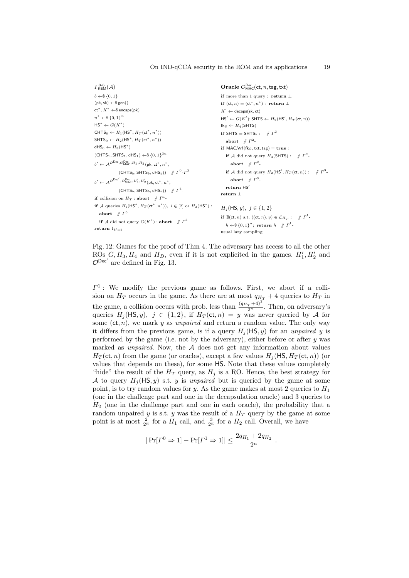<span id="page-18-0"></span>

| <b>KEM</b> |  |
|------------|--|

|  | Oracle $\mathcal{O}_{\text{MAC}}^{\text{Dec}}(\text{ct}, n, \text{tag}, \text{txt})$ |  |
|--|--------------------------------------------------------------------------------------|--|
|--|--------------------------------------------------------------------------------------|--|

```
b \leftarrow \$ \{0, 1\}(\mathsf{pk}, \mathsf{sk}) \leftarrow \$ \mathsf{gen}(ct^*, K^* \leftarrow \$ encaps(\text{pk})n^* \leftarrow \$\{0,1\}^n\mathsf{HS}^* \leftarrow G(K^*)CHTS_0 \leftarrow H_1(HS^*, H_T(\text{ct}^*, n^*))\mathsf{SHTS}_0 \leftarrow H_2(\mathsf{HS}^*, H_T(\mathsf{ct}^*, n^*))dHS_0 \leftarrow H_3(HS^*)(CHTS<sub>1</sub>, SHTS<sub>1</sub>, dHS<sub>1</sub>) ← $ {0, 1}<sup>3n</sup>
b' \leftarrow \mathcal{A}^{\mathcal{O}Dec}, \mathcal{O}^{Dec}_{MAC}, H_1, H_2 (pk, ct<sup>*</sup>, n<sup>*</sup>,
                     (\mathsf{CHTS}_b,\mathsf{SHTS}_b,\mathsf{dHS}_b)) // \Gamma^0\text{-}\Gamma^3b' \leftarrow A^{\mathcal{O}Dec'}, \mathcal{O}^{Dec}_{MAC}, H'_1, H'_2 (pk, ct<sup>*</sup>, n<sup>*</sup>,
                     (\mathsf{CHTS}_b, \mathsf{SHTS}_b, \mathsf{dHS}_b)) // \Gamma^4-
if collision on H_T: abort //T^1-
if A queries H_i(\text{HS}^*, H_T(\text{ct}^*, n^*)), i \in [2] or H_3(\text{HS}^*):
     \mathbf{a} \mathbf{b} \mathbf{or} \mathbf{t} \quad / \! \! \! / \ \Gamma^{6}if A did not query G(K^*): abort \text{N} \Gamma^5return 1_{b'=b}if more than 1 query : return ⊥
                                                                                                           if (ct, n) = (ct^*, n^*) : return \perpK' \leftarrow decaps(sk, ct)
                                                                                                           \mathsf{HS}' \leftarrow G(K'); \mathsf{SHTS} \leftarrow H_2(\mathsf{HS}', H_T(\mathsf{ct}, n))f k_S \leftarrow H_4(SHTS)
                                                                                                           if SHTS = SHTS<sub>b</sub>: \# \Gamma^2-
                                                                                                                \mathbf{abort} \quad / \hspace{-0.2cm} / \hspace{-0.1cm} \mathbb{P}^2-
                                                                                                           if MAC.<br>Vrf(fk_S, txt, tag) = true:
                                                                                                                if A did not query H_4(SHTS): // \int T^2-
                                                                                                                    abort \# \Gamma^2-
                                                                                                                if A did not query H_2(HS', H_T(\text{ct}, n)) : \# \Gamma^3-
                                                                                                                    abort \# \Gamma^3-
                                                                                                              return HS'return ⊥
                                                                                                           H_i(HS, y), j \in \{1, 2\}if \sharp(ct, n) s.t. ((ct, n), y) \in \mathcal{L}_{H_T}: // \Gamma^1-
                                                                                                                h \leftarrow \$ \{0, 1\}^n; return h \text{ // } \Gamma^1-
                                                                                                          usual lazy sampling
```
Fig. 12: Games for the proof of Thm [4.](#page-17-0) The adversary has access to all the other ROs  $G, H_3, H_4$  and  $H_D$ , even if it is not explicited in the games.  $H'_1, H'_2$  and  $\mathcal{O}^{\mathsf{Dec}'}$  are defined in Fig. [13.](#page-20-0)

 $\underline{\Gamma}^1$ : We modify the previous game as follows. First, we abort if a collision on  $H_T$  occurs in the game. As there are at most  $q_{H_T} + 4$  queries to  $H_T$  in the game, a collision occurs with prob. less than  $\frac{(q_{H_T}+4)^2}{2^n}$ . Then, on adversary's queries  $H_i(HS, y)$ ,  $j \in \{1, 2\}$ , if  $H_T(\text{ct}, n) = y$  was never queried by A for some  $(ct, n)$ , we mark y as unpaired and return a random value. The only way it differs from the previous game, is if a query  $H_i(HS, y)$  for an unpaired y is performed by the game (i.e. not by the adversary), either before or after  $y$  was marked as *unpaired*. Now, the  $A$  does not get any information about values  $H_T(\text{ct}, n)$  from the game (or oracles), except a few values  $H_i(\text{HS}, H_T(\text{ct}, n))$  (or values that depends on these), for some HS. Note that these values completely "hide" the result of the  $H_T$  query, as  $H_j$  is a RO. Hence, the best strategy for A to query  $H_j(HS, y)$  s.t. y is unpaired but is queried by the game at some point, is to try random values for y. As the game makes at most 2 queries to  $H_1$ (one in the challenge part and one in the decapsulation oracle) and 3 queries to  $H<sub>2</sub>$  (one in the challenge part and one in each oracle), the probability that a random unpaired y is s.t. y was the result of a  $H_T$  query by the game at some point is at most  $\frac{2}{2^n}$  for a  $H_1$  call, and  $\frac{3}{2^n}$  for a  $H_2$  call. Overall, we have

$$
|\Pr[\Gamma^0 \Rightarrow 1] - \Pr[\Gamma^1 \Rightarrow 1]| \le \frac{2q_{H_1} + 2q_{H_2}}{2^n}.
$$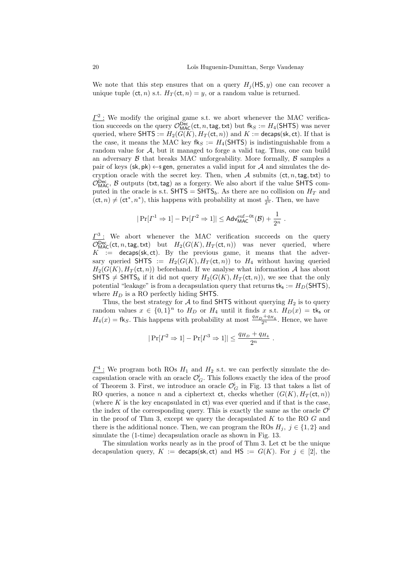.

We note that this step ensures that on a query  $H_i(HS, y)$  one can recover a unique tuple (ct, n) s.t.  $H_T(\text{ct}, n) = y$ , or a random value is returned.

 $\underline{\Gamma^2}$ : We modify the original game s.t. we abort whenever the MAC verification succeeds on the query  $\mathcal{O}_{\text{MAC}}^{\text{Dec}}(\text{ct}, n, \text{tag}, \text{txt})$  but  $\text{fk}_S := H_4(\text{SHTS})$  was never queried, where SHTS :=  $H_2(G(K), H_T(\text{ct}, n))$  and  $K$  := decaps(sk, ct). If that is the case, it means the MAC key  $f_{\mathsf{K}} := H_4(SHTS)$  is indistinguishable from a random value for  $A$ , but it managed to forge a valid tag. Thus, one can build an adversary  $\beta$  that breaks MAC unforgeability. More formally,  $\beta$  samples a pair of keys (sk, pk)  $\leftarrow$  sgen, generates a valid input for A and simulates the decryption oracle with the secret key. Then, when  $A$  submits (ct, n, tag, txt) to  $\mathcal{O}_{\text{MAC}}^{\text{Dec}}$ ,  $\beta$  outputs (txt, tag) as a forgery. We also abort if the value SHTS computed in the oracle is s.t.  $SHTS = SHTS_b$ . As there are no collision on  $H_T$  and  $(ct, n) \neq (ct^*, n^*)$ , this happens with probability at most  $\frac{1}{2^n}$ . Then, we have

$$
|\Pr[\varGamma^1 \Rightarrow 1]-\Pr[\varGamma^2 \Rightarrow 1]| \leq \mathsf{Adv}^{\mathrm{euf}-0t}_\mathsf{MAC}(\mathcal{B})+\frac{1}{2^n}
$$

 $\underline{\Gamma^3}$ : We abort whenever the MAC verification succeeds on the query  $\mathcal{O}_{\text{MAC}}^{\text{Dec}}(\text{ct}, n, \text{tag}, \text{txt})$  but  $H_2(G(K), H_T(\text{ct}, n))$  was never queried, where  $K :=$  decaps(sk, ct). By the previous game, it means that the adversary queried SHTS :=  $H_2(G(K), H_T(\text{ct}, n))$  to  $H_4$  without having queried  $H_2(G(K), H_T(\text{ct}, n))$  beforehand. If we analyse what information A has about SHTS  $\neq$  SHTS<sub>b</sub> if it did not query  $H_2(G(K), H_T(\text{ct}, n))$ , we see that the only potential "leakage" is from a decapsulation query that returns  $tk_s := H_D(\text{SHTS})$ , where  $H_D$  is a RO perfectly hiding SHTS.

Thus, the best strategy for  $A$  to find SHTS without querying  $H_2$  is to query random values  $x \in \{0,1\}^n$  to  $H_D$  or  $H_4$  until it finds x s.t.  $H_D(x) = \mathsf{tk}_\mathsf{s}$  or  $H_4(x) = \text{fk}_S$ . This happens with probability at most  $\frac{q_{H_D} + q_{H_4}}{2^n}$ . Hence, we have

$$
|\Pr[\Gamma^2 \Rightarrow 1] - \Pr[\Gamma^3 \Rightarrow 1]| \le \frac{q_{H_D} + q_{H_4}}{2^n}.
$$

 $\underline{\Gamma^4}$ : We program both ROs  $H_1$  and  $H_2$  s.t. we can perfectly simulate the decapsulation oracle with an oracle  $\mathcal{O}_G^{\mathsf{i}}$ . This follows exactly the idea of the proof of Theorem [3.](#page-11-0) First, we introduce an oracle  $\mathcal{O}_G^i$  in Fig. [13](#page-20-0) that takes a list of RO queries, a nonce n and a ciphertext ct, checks whether  $(G(K), H_T(\text{ct}, n))$ (where  $K$  is the key encapsulated in  $ct$ ) was ever queried and if that is the case, the index of the corresponding query. This is exactly the same as the oracle  $\mathcal{O}^{\dagger}$ in the proof of Thm [3,](#page-11-0) except we query the decapsulated  $K$  to the RO  $G$  and there is the additional nonce. Then, we can program the ROs  $H_i$ ,  $j \in \{1,2\}$  and simulate the (1-time) decapsulation oracle as shown in Fig. [13.](#page-20-0)

The simulation works nearly as in the proof of Thm [3.](#page-11-0) Let ct be the unique decapsulation query,  $K :=$  decaps(sk, ct) and  $HS := G(K)$ . For  $j \in [2]$ , the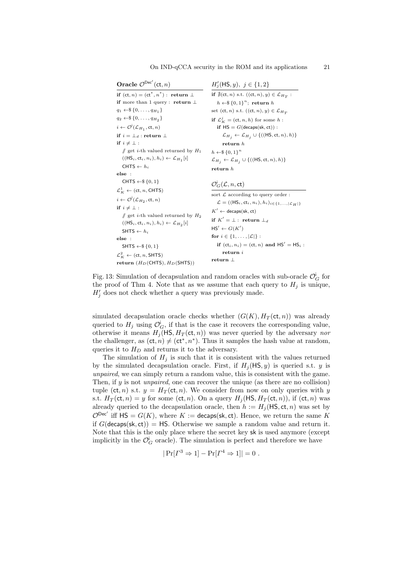<span id="page-20-0"></span>

| Oracle $\mathcal{O}^{\text{Dec}}(\text{ct}, n)$                              | $H'_{i}(\mathsf{HS}, y), \; j \in \{1, 2\}$                                               |
|------------------------------------------------------------------------------|-------------------------------------------------------------------------------------------|
| if $(ct, n) = (ct^*, n^*)$ : return $\perp$                                  | if $\sharp$ (ct, n) s.t. $((ct, n), y) \in \mathcal{L}_{H_T}$ :                           |
| if more than 1 query : return $\perp$                                        | $h \leftarrow \$\{0,1\}^n$ ; return h                                                     |
| $q_1 \leftarrow \$\{0,\ldots,q_{H_1}\}\$                                     | set (ct, n) s.t. $((ct, n), y) \in \mathcal{L}_{H_T}$                                     |
| $q_2 \leftarrow \$\{0,\ldots,q_{H_0}\}\$                                     | if $\mathcal{L}_K^j = (\text{ct}, n, h)$ for some h:                                      |
| $i \leftarrow \mathcal{O}^{\mathsf{I}}(\mathcal{L}_{H_1},\mathsf{ct},n)$     | if $HS = G(decaps(sk, ct))$ :                                                             |
| if $i = \perp_d$ : return $\perp$                                            | $\mathcal{L}_{H_j} \leftarrow \mathcal{L}_{H_j} \cup \{((\mathsf{HS},\mathsf{ct},n),h)\}$ |
| if $i \neq \perp$ :                                                          | return h                                                                                  |
| $\#$ get <i>i</i> -th valued returned by $H_1$                               | $h \leftarrow \$\{0,1\}^n$                                                                |
| $((\mathsf{HS}_i, \mathsf{ct}_i, n_i), h_i) \leftarrow \mathcal{L}_{H_1}[i]$ | $\mathcal{L}_{H_j} \leftarrow \mathcal{L}_{H_j} \cup \{((\mathsf{HS},\mathsf{ct},n),h)\}$ |
| CHTS $\leftarrow h_i$                                                        | return h                                                                                  |
| else:                                                                        |                                                                                           |
| CHTS $\leftarrow$ \$ {0, 1}                                                  | $\mathcal{O}_G^{\mathsf{L}}(\mathcal{L}, n, \mathsf{ct})$                                 |
| $\mathcal{L}_{K}^{1} \leftarrow (\text{ct}, n, \text{CHTS})$                 | sort $\mathcal L$ according to query order:                                               |
| $i \leftarrow \mathcal{O}^{\mathsf{i}}(\mathcal{L}_{H_2},\mathsf{ct},n)$     | $\mathcal{L} = ((\mathsf{HS}_i, ct_i, n_i), h_i)_{i \in \{1, ,  \mathcal{L}_H \}}$        |
| if $i \neq \perp$ :                                                          | $K' \leftarrow$ decaps(sk, ct)                                                            |
| $\#$ get <i>i</i> -th valued returned by $H_2$                               | if $K' = \perp$ : return $\perp_d$                                                        |
| $((\mathsf{HS}_i, \mathsf{ct}_i, n_i), h_i) \leftarrow \mathcal{L}_{H_2}[i]$ | $HS' \leftarrow G(K')$                                                                    |
| SHTS $\leftarrow h_i$                                                        | for $i \in \{1, \ldots,  \mathcal{L} \}$ :                                                |
| else:                                                                        |                                                                                           |
| SHTS $\leftarrow$ \$ {0, 1}                                                  | if $(ct_i, n_i) = (ct, n)$ and $HS' = HS_i$ :                                             |
| $\mathcal{L}_{K}^{2} \leftarrow (\text{ct}, n, \text{SHTS})$                 | return i                                                                                  |
| return $(H_D(\text{CHTS}), H_D(\text{SHTS}))$                                | return $\perp$                                                                            |

Fig. 13: Simulation of decapsulation and random oracles with sub-oracle  $\mathcal{O}_G^{\mathsf{i}}$  for the proof of Thm [4.](#page-17-0) Note that as we assume that each query to  $H_i$  is unique,  $H'_{j}$  does not check whether a query was previously made.

simulated decapsulation oracle checks whether  $(G(K), H_T(\text{ct}, n))$  was already queried to  $H_j$  using  $\mathcal{O}_G^i$ , if that is the case it recovers the corresponding value, otherwise it means  $H_i(HS, H_T(\text{ct}, n))$  was never queried by the adversary nor the challenger, as  $(ct, n) \neq (ct^*, n^*)$ . Thus it samples the hash value at random, queries it to  $H_D$  and returns it to the adversary.

The simulation of  $H_j$  is such that it is consistent with the values returned by the simulated decapsulation oracle. First, if  $H_i(HS, y)$  is queried s.t. y is unpaired, we can simply return a random value, this is consistent with the game. Then, if  $y$  is not *unpaired*, one can recover the unique (as there are no collision) tuple (ct, n) s.t.  $y = H_T(\text{ct}, n)$ . We consider from now on only queries with y s.t.  $H_T(\text{ct}, n) = y$  for some  $(\text{ct}, n)$ . On a query  $H_j(\text{HS}, H_T(\text{ct}, n))$ , if  $(\text{ct}, n)$  was already queried to the decapsulation oracle, then  $h := H_j(\mathsf{HS}, \mathsf{ct}, n)$  was set by  $\mathcal{O}^{\mathsf{Dec}'}$  iff  $\mathsf{HS} = G(K)$ , where  $K := \mathsf{decaps}(\mathsf{sk}, \mathsf{ct})$ . Hence, we return the same K if  $G$ (decaps(sk, ct)) = HS. Otherwise we sample a random value and return it. Note that this is the only place where the secret key sk is used anymore (except implicitly in the  $\mathcal{O}_G^{\mathsf{i}}$  oracle). The simulation is perfect and therefore we have

$$
|\Pr[\Gamma^3 \Rightarrow 1] - \Pr[\Gamma^4 \Rightarrow 1]| = 0.
$$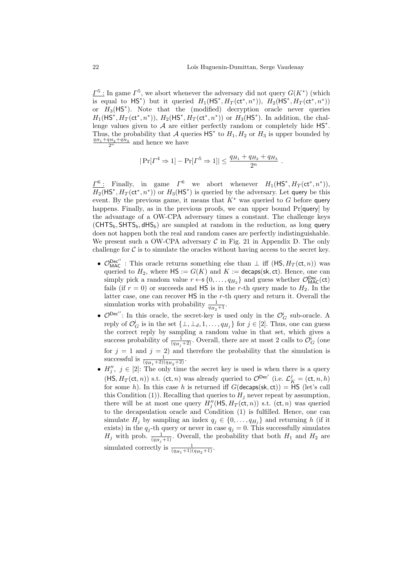$\underline{\Gamma^5}$ : In game  $\Gamma^5$ , we abort whenever the adversary did not query  $G(K^*)$  (which is equal to HS<sup>\*</sup>) but it queried  $H_1(\mathsf{HS}^*, H_T(\mathsf{ct}^*, n^*))$ ,  $H_2(\mathsf{HS}^*, H_T(\mathsf{ct}^*, n^*))$ or  $H_3(HS^*)$ . Note that the (modified) decryption oracle never queries  $H_1(HS^*, H_T(\text{ct}^*, n^*)), H_2(HS^*, H_T(\text{ct}^*, n^*))$  or  $H_3(HS^*)$ . In addition, the challenge values given to  $A$  are either perfectly random or completely hide  $HS^*$ . Thus, the probability that A queries  $\mathsf{HS}^*$  to  $H_1, H_2$  or  $H_3$  is upper bounded by  $\frac{q_{H_1}+q_{H_2}+q_{H_3}+q_{H_4}}{2^n}$  and hence we have

$$
|\Pr[\Gamma^4 \Rightarrow 1] - \Pr[\Gamma^5 \Rightarrow 1]| \le \frac{q_{H_1} + q_{H_2} + q_{H_3}}{2^n}.
$$

 $\underline{\Gamma^6}$ : Finally, in game  $\Gamma^6$  we abort whenever  $H_1(\mathsf{HS}^*, H_T(\mathsf{ct}^*, n^*))$ ,  $H_2(HS^*, H_T(\text{ct}^*, n^*))$  or  $H_3(HS^*)$  is queried by the adversary. Let query be this event. By the previous game, it means that  $K^*$  was queried to G before query happens. Finally, as in the previous proofs, we can upper bound Pr[query] by the advantage of a OW-CPA adversary times a constant. The challenge keys  $(\text{CHTS}_b, \text{SHTS}_b, \text{dHS}_b)$  are sampled at random in the reduction, as long query does not happen both the real and random cases are perfectly indistinguishable. We present such a OW-CPA adversary  $C$  in Fig. [21](#page-41-0) in Appendix [D.](#page-41-1) The only challenge for  $\mathcal C$  is to simulate the oracles without having access to the secret key.

- $\mathcal{O}_{\text{MAC}}^{\text{Dec''}}$ : This oracle returns something else than  $\perp$  iff  $(\text{HS}, H_T(\text{ct}, n))$  was queried to  $H_2$ , where  $\mathsf{HS} := G(K)$  and  $K := \mathsf{decaps}(\mathsf{sk}, \mathsf{ct})$ . Hence, one can simply pick a random value  $r \leftarrow s \{0, \ldots, q_{H_2}\}$  and guess whether  $\mathcal{O}_{\text{MAC}}^{\text{Dec}}(\text{ct})$ fails (if  $r = 0$ ) or succeeds and HS is in the r-th query made to  $H_2$ . In the latter case, one can recover HS in the r-th query and return it. Overall the simulation works with probability  $\frac{1}{q_{H_2}+1}$ .
- $\mathcal{O}^{\text{Dec}}'$ : In this oracle, the secret-key is used only in the  $\mathcal{O}_G^{\text{I}}$  sub-oracle. A reply of  $\mathcal{O}_G^i$  is in the set  $\{\perp, \perp_d, 1, \ldots, q_{H_j}\}$  for  $j \in [2]$ . Thus, one can guess the correct reply by sampling a random value in that set, which gives a success probability of  $\frac{1}{(q_{H_j}+2)}$ . Overall, there are at most 2 calls to  $\mathcal{O}_G^{\mathfrak{i}}$  (one for  $j = 1$  and  $j = 2$ ) and therefore the probability that the simulation is successful is  $\frac{1}{(q_{H_1}+2)(q_{H_2}+2)}$ .
- $H''_j, j \in [2]$ : The only time the secret key is used is when there is a query  $(HS, H_T(\text{ct}, n))$  s.t.  $(\text{ct}, n)$  was already queried to  $\mathcal{O}^{\text{Dec}}$ <sup>'</sup> (i.e.  $\mathcal{L}_K^j = (\text{ct}, n, h)$ ) for some h). In this case h is returned iff  $G$ (decaps(sk, ct)) =  $\overrightarrow{HS}$  (let's call this Condition (1)). Recalling that queries to  $H_i$  never repeat by assumption, there will be at most one query  $H''_j(\textsf{HS}, H_T(\textsf{ct}, n))$  s.t.  $(\textsf{ct}, n)$  was queried to the decapsulation oracle and Condition (1) is fulfilled. Hence, one can simulate  $H_j$  by sampling an index  $q_j \in \{0, \ldots, q_{H_j}\}\$ and returning h (if it exists) in the  $q_j$ -th query or never in case  $q_j = 0$ . This successfully simulates  $H_j$  with prob.  $\frac{1}{(q_{H_j}+1)}$ . Overall, the probability that both  $H_1$  and  $H_2$  are simulated correctly is  $\frac{1}{(q_{H_1}+1)(q_{H_2}+1)}$ .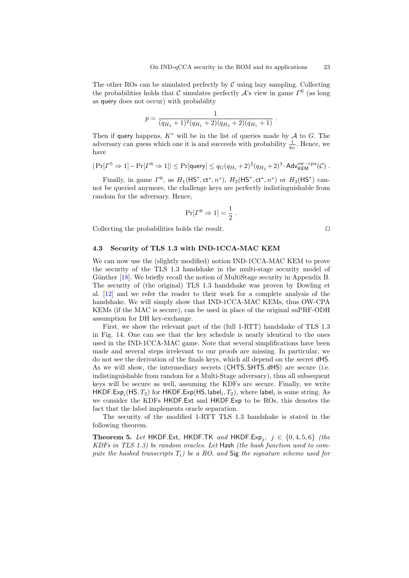The other ROs can be simulated perfectly by  $\mathcal C$  using lazy sampling. Collecting the probabilities holds that C simulates perfectly  $\mathcal{A}$ 's view in game  $\Gamma^6$  (as long as query does not occur) with probability

$$
p = \frac{1}{(q_{H_2}+1)^2(q_{H_1}+2)(q_{H_2}+2)(q_{H_1}+1)}.
$$

Then if query happens,  $K^*$  will be in the list of queries made by  $A$  to  $G$ . The adversary can guess which one it is and succeeds with probability  $\frac{1}{q_G}$ . Hence, we have

$$
|\Pr[I^5 \Rightarrow 1] - \Pr[I^6 \Rightarrow 1]| \leq \Pr[\text{query}] \leq q_G(q_{H_1} + 2)^2(q_{H_2} + 2)^3 \cdot \text{Adv}_{\mathsf{KEM}}^{\text{ow-cpa}}(\mathcal{C})
$$
.

Finally, in game  $\Gamma^6$ , as  $H_1(HS^*, ct^*, n^*)$ ,  $H_2(HS^*, ct^*, n^*)$  or  $H_3(HS^*)$  cannot be queried anymore, the challenge keys are perfectly indistinguishable from random for the adversary. Hence,

$$
\Pr[\Gamma^6 \Rightarrow 1] = \frac{1}{2} .
$$

Collecting the probabilities holds the result.  $\Box$ 

### 4.3 Security of TLS 1.3 with IND-1CCA-MAC KEM

We can now use the (slightly modified) notion IND-1CCA-MAC KEM to prove the security of the TLS 1.3 handshake in the multi-stage security model of Günther [\[18\]](#page-30-13). We briefly recall the notion of MultiStage security in Appendix [B.](#page-35-0) The security of (the original) TLS 1.3 handshake was proven by Dowling et al. [\[12\]](#page-30-3) and we refer the reader to their work for a complete analysis of the handshake. We will simply show that IND-1CCA-MAC KEMs, thus OW-CPA KEMs (if the MAC is secure), can be used in place of the original snPRF-ODH assumption for DH key-exchange.

First, we show the relevant part of the (full 1-RTT) handshake of TLS 1.3 in Fig. [14.](#page-23-0) One can see that the key schedule is nearly identical to the ones used in the IND-1CCA-MAC game. Note that several simplifications have been made and several steps irrelevant to our proofs are missing. In particular, we do not see the derivation of the finals keys, which all depend on the secret dHS. As we will show, the intermediary secrets (CHTS, SHTS, dHS) are secure (i.e. indistinguishable from random for a Multi-Stage adversary), thus all subsequent keys will be secure as well, assuming the KDFs are secure. Finally, we write <code>HKDF.Exp</code><sub>i</sub>(HS,  $T_2$ ) for <code>HKDF.Exp(HS,</code> label $_i$ ,  $T_2$ ), where label $_i$  is some string. As we consider the KDFs HKDF.Ext and HKDF.Exp to be ROs, this denotes the fact that the label implements oracle separation.

<span id="page-22-0"></span>The security of the modified 1-RTT TLS 1.3 handshake is stated in the following theorem.

**Theorem 5.** Let HKDF.Ext, HKDF.TK and HKDF.Exp<sub>j</sub>,  $j \in \{0, 4, 5, 6\}$  (the KDFs in TLS 1.3) be random oracles. Let Hash (the hash function used to compute the hashed transcripts  $T_i$ ) be a RO, and Sig the signature scheme used for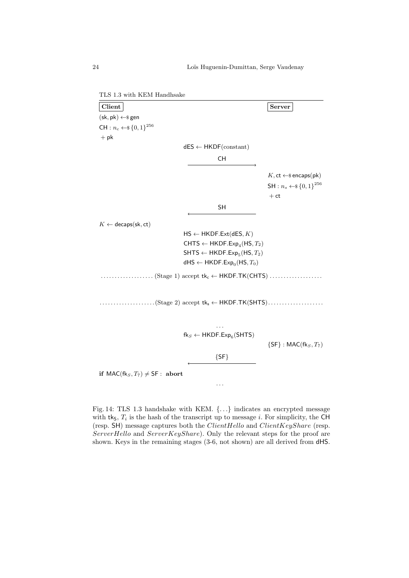<span id="page-23-0"></span>TLS 1.3 with KEM Handhsake

Client Server  $(\mathsf{sk}, \mathsf{pk}) \leftarrow \mathsf{s}$  gen  $CH: n_c \leftarrow \{0, 1\}^{256}$  $+$  pk  $dES \leftarrow HKDF(constant)$ CH  $K$ , ct  $\leftarrow$ \$ encaps(pk)  $\mathsf{SH}: n_s \leftarrow \{0,1\}^{256}$  $+$  ct SH  $K \leftarrow$  decaps(sk, ct)  $\mathsf{HS} \leftarrow \mathsf{HKDF}.\mathsf{Ext}(\mathsf{dES}, K)$ CHTS ← HKDF.Exp<sub>4</sub>(HS,  $T_2$ )  $\mathsf{SHTS} \leftarrow \mathsf{HKDF}.\mathsf{Exp}_5(\mathsf{HS}, T_2)$ dHS  $\leftarrow$  HKDF.Exp<sub>0</sub>(HS,  $T_0$ )  $\dots\dots\dots\dots\dots\dots$  (Stage 1) accept  $tk_c \leftarrow \text{HKDF.TK}(\text{CHTS})\dots\dots\dots\dots\dots\dots$ . . . . . . . . . . . . . . . . . . . .(Stage 2) accept tk<sup>s</sup> ← HKDF.TK(SHTS). . . . . . . . . . . . . . . . . . . . . . .  $\mathsf{fk}_S \leftarrow \mathsf{HKDF}.\mathsf{Exp}_6(\mathsf{SHTS})$  $\{SF\}$ : MAC(fk $_S, T_7$ )  ${SF}$ if  $MAC(fk_S, T_7) \neq SF$  : abort . . .

Fig. 14: TLS 1.3 handshake with KEM. {. . .} indicates an encrypted message with  $tk_5$ ,  $T_i$  is the hash of the transcript up to message *i*. For simplicity, the CH (resp.  $SH$ ) message captures both the *ClientHello* and *ClientKeyShare* (resp.  $ServerHello$  and  $ServerKeyShare)$ . Only the relevant steps for the proof are shown. Keys in the remaining stages (3-6, not shown) are all derived from dHS.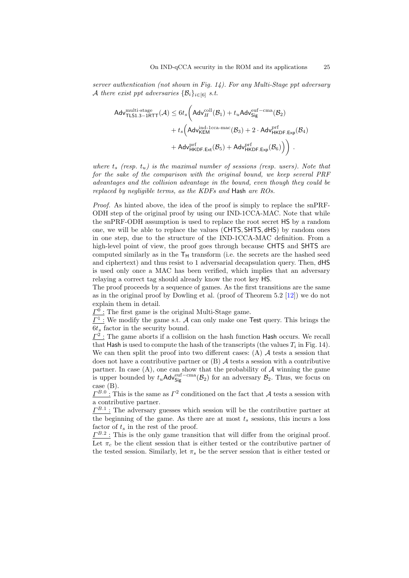server authentication (not shown in Fig. [14\)](#page-23-0). For any Multi-Stage ppt adversary A there exist ppt adversaries  $\{\mathcal{B}_i\}_{i\in[6]}$  s.t.

$$
\begin{aligned} \mathsf{Adv}_{\mathsf{TLS1.3-1RTT}}^{\text{multi-stage}}(\mathcal{A}) &\leq 6 t_s \bigg( \mathsf{Adv}_{H}^{\text{coll}}(\mathcal{B}_1) + t_u \mathsf{Adv}_{\mathsf{Sig}}^{\text{euf-cma}}(\mathcal{B}_2) \\ &+ t_s \bigg( \mathsf{Adv}_{\mathsf{KEM}}^{\text{ind-1cca-mac}}(\mathcal{B}_3) + 2 \cdot \mathsf{Adv}_{\mathsf{HKDF.Exp}}^{\text{prf}}(\mathcal{B}_4) \\ &+ \mathsf{Adv}_{\mathsf{HKDF.Exp}}^{\text{prf}}(\mathcal{B}_5) + \mathsf{Adv}_{\mathsf{HKDF.Exp}}^{\text{prf}}(\mathcal{B}_6) \bigg) \bigg) \end{aligned} \bigg).
$$

where  $t_s$  (resp.  $t_u$ ) is the maximal number of sessions (resp. users). Note that for the sake of the comparison with the original bound, we keep several PRF advantages and the collision advantage in the bound, even though they could be replaced by negligible terms, as the KDFs and Hash are ROs.

Proof. As hinted above, the idea of the proof is simply to replace the snPRF-ODH step of the original proof by using our IND-1CCA-MAC. Note that while the snPRF-ODH assumption is used to replace the root secret HS by a random one, we will be able to replace the values (CHTS, SHTS, dHS) by random ones in one step, due to the structure of the IND-1CCA-MAC definition. From a high-level point of view, the proof goes through because CHTS and SHTS are computed similarly as in the  $T_H$  transform (i.e. the secrets are the hashed seed and ciphertext) and thus resist to 1 adversarial decapsulation query. Then, dHS is used only once a MAC has been verified, which implies that an adversary relaying a correct tag should already know the root key HS.

The proof proceeds by a sequence of games. As the first transitions are the same as in the original proof by Dowling et al. (proof of Theorem 5.2 [\[12\]](#page-30-3)) we do not explain them in detail.

 $\underline{\Gamma}^0$ : The first game is the original Multi-Stage game.

 $\underline{\Gamma^1}$ : We modify the game s.t. A can only make one Test query. This brings the  $6t<sub>s</sub>$  factor in the security bound.

 $\underline{\Gamma^2}$ : The game aborts if a collision on the hash function Hash occurs. We recall that Hash is used to compute the hash of the transcripts (the values  $T_i$  in Fig. [14\)](#page-23-0). We can then split the proof into two different cases: (A)  $A$  tests a session that does not have a contributive partner or  $(B)$  A tests a session with a contributive partner. In case  $(A)$ , one can show that the probability of  $A$  winning the game is upper bounded by  $t_u$ Adv<sup>euf−cma</sup> $(\mathcal{B}_2)$  for an adversary  $\mathcal{B}_2$ . Thus, we focus on case (B).

 $\underline{\Gamma^{B.0}}$ : This is the same as  $\Gamma^2$  conditioned on the fact that A tests a session with a contributive partner.

 $\underline{\Gamma^{B.1}}$ : The adversary guesses which session will be the contributive partner at the beginning of the game. As there are at most  $t_s$  sessions, this incurs a loss factor of  $t_s$  in the rest of the proof.

 $\underline{\Gamma^{B.2}}$ : This is the only game transition that will differ from the original proof. Let  $\pi_c$  be the client session that is either tested or the contributive partner of the tested session. Similarly, let  $\pi_s$  be the server session that is either tested or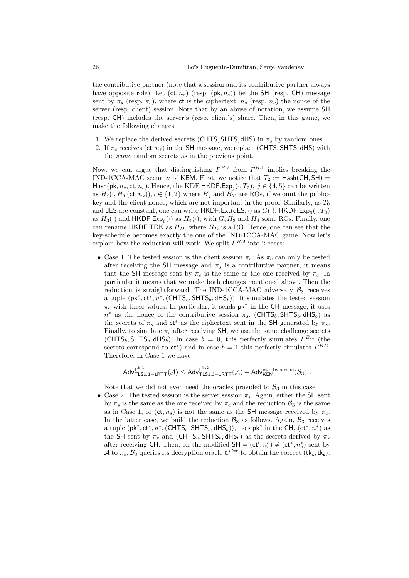the contributive partner (note that a session and its contributive partner always have opposite role). Let  $(ct, n_s)$  (resp.  $(\mathsf{pk}, n_c)$ ) be the SH (resp. CH) message sent by  $\pi_s$  (resp.  $\pi_c$ ), where ct is the ciphertext,  $n_s$  (resp.  $n_c$ ) the nonce of the server (resp. client) session. Note that by an abuse of notation, we assume SH (resp. CH) includes the server's (resp. client's) share. Then, in this game, we make the following changes:

- 1. We replace the derived secrets (CHTS, SHTS, dHS) in  $\pi_s$  by random ones.
- 2. If  $\pi_c$  receives (ct,  $n_s$ ) in the SH message, we replace (CHTS, SHTS, dHS) with the same random secrets as in the previous point.

Now, we can argue that distinguishing  $\Gamma^{B.2}$  from  $\Gamma^{B.1}$  implies breaking the IND-1CCA-MAC security of KEM. First, we notice that  $T_2 := \text{Hash}(CH, SH) =$ Hash(pk,  $n_c$ , ct,  $n_s$ ). Hence, the KDF HKDF.Exp<sub>j</sub>( $\cdot$ ,  $T_2$ ),  $j \in \{4, 5\}$  can be written as  $H_i(\cdot, H_T(\text{ct}, n_s)), i \in \{1,2\}$  where  $H_i$  and  $H_T$  are ROs, if we omit the publickey and the client nonce, which are not important in the proof. Similarly, as  $T_0$ and dES are constant, one can write  $HKDF. Ext(dES, \cdot)$  as  $G(\cdot)$ ,  $HKDF.Exp_0(\cdot, T_0)$ as  $H_3(\cdot)$  and  $HKDF.Exp_6(\cdot)$  as  $H_4(\cdot)$ , with  $G, H_3$  and  $H_4$  some ROs. Finally, one can rename HKDF.TDK as  $H_D$ , where  $H_D$  is a RO. Hence, one can see that the key-schedule becomes exactly the one of the IND-1CCA-MAC game. Now let's explain how the reduction will work. We split  $\Gamma^{B.2}$  into 2 cases:

• Case 1: The tested session is the client session  $\pi_c$ . As  $\pi_c$  can only be tested after receiving the SH message and  $\pi_s$  is a contributive partner, it means that the SH message sent by  $\pi_s$  is the same as the one received by  $\pi_c$ . In particular it means that we make both changes mentioned above. Then the reduction is straightforward. The IND-1CCA-MAC adversary  $\mathcal{B}_3$  receives a tuple  $(\mathsf{pk}^*, \mathsf{ct}^*, n^*, (\mathsf{CHTS}_b, \mathsf{SHTS}_b, \mathsf{dHS}_b))$ . It simulates the tested session  $\pi_c$  with these values. In particular, it sends  $pk^*$  in the CH message, it uses  $n^*$  as the nonce of the contributive session  $\pi_s$ , (CHTS<sub>b</sub>, SHTS<sub>b</sub>, dHS<sub>b</sub>) as the secrets of  $\pi_s$  and  $ct^*$  as the ciphertext sent in the SH generated by  $\pi_s$ . Finally, to simulate  $\pi_c$  after receiving SH, we use the same challenge secrets  $(\text{CHTS}_b, \text{SHTS}_b, \text{dHS}_b)$ . In case  $b = 0$ , this perfectly simulates  $\Gamma^{B.1}$  (the secrets correspond to  $ct^*$ ) and in case  $b = 1$  this perfectly simulates  $\Gamma^{B.2}$ . Therefore, in Case 1 we have

$$
\mathsf{Adv}_{\mathsf{TLS}1.3-1\mathsf{RTT}}^{\mathsf{P}^{b.1}}(\mathcal{A})\leq \mathsf{Adv}_{\mathsf{TLS}1.3-1\mathsf{RTT}}^{\mathsf{P}^{b.2}}(\mathcal{A})+\mathsf{Adv}_{\mathsf{KEM}}^{\mathsf{ind}\text{-1cca-mac}}(\mathcal{B}_3)\;.
$$

Note that we did not even need the oracles provided to  $\mathcal{B}_3$  in this case.

• Case 2: The tested session is the server session  $\pi_s$ . Again, either the SH sent by  $\pi_s$  is the same as the one received by  $\pi_c$  and the reduction  $\mathcal{B}_3$  is the same as in Case 1, or (ct,  $n_s$ ) is not the same as the SH message received by  $\pi_c$ . In the latter case, we build the reduction  $\mathcal{B}_3$  as follows. Again,  $\mathcal{B}_3$  receives a tuple  $(\mathsf{pk}^*, \mathsf{ct}^*, n^*, (\mathsf{CHTS}_b, \mathsf{SHTS}_b, \mathsf{dHS}_b)),$  uses  $\mathsf{pk}^*$  in the CH,  $(\mathsf{ct}^*, n^*)$  as the SH sent by  $\pi_s$  and (CHTS<sub>b</sub>, SHTS<sub>b</sub>, dHS<sub>b</sub>) as the secrets derived by  $\pi_s$ after receiving CH. Then, on the modified  $SH = (ct', n'_{s}) \neq (ct^*, n'_{s})$  sent by A to  $\pi_c$ ,  $\mathcal{B}_3$  queries its decryption oracle  $\mathcal{O}^{\text{Dec}}$  to obtain the correct (tk<sub>c</sub>, tk<sub>s</sub>).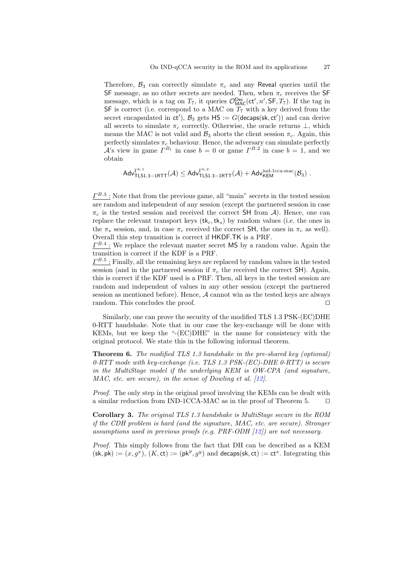Therefore,  $\mathcal{B}_3$  can correctly simulate  $\pi_c$  and any Reveal queries until the SF message, as no other secrets are needed. Then, when  $\pi_c$  receives the SF message, which is a tag on  $T_7$ , it queries  $\mathcal{O}_{MAC}^{Dec}(ct', n', SF, T_7)$ . If the tag in SF is correct (i.e. correspond to a MAC on  $T_7$  with a key derived from the secret encapsulated in  $ct'$ ,  $B_3$  gets  $HS := G$ (decaps(sk, ct')) and can derive all secrets to simulate  $\pi_c$  correctly. Otherwise, the oracle returns  $\perp$ , which means the MAC is not valid and  $\mathcal{B}_3$  aborts the client session  $\pi_c$ . Again, this perfectly simulates  $\pi_c$  behaviour. Hence, the adversary can simulate perfectly A's view in game  $\Gamma^{B_1}$  in case  $b=0$  or game  $\Gamma^{B.2}$  in case  $b=1$ , and we obtain

$$
\mathsf{Adv}_{\mathsf{TLS}1.3-1\mathsf{RTT}}^{\mathsf{P}^{b.1}}(\mathcal{A}) \leq \mathsf{Adv}_{\mathsf{TLS}1.3-1\mathsf{RTT}}^{\mathsf{P}^{b.2}}(\mathcal{A}) + \mathsf{Adv}_{\mathsf{KEM}}^{\mathsf{ind}\text{-1cca-mac}}(\mathcal{B}_3)\ .
$$

 $\underline{\Gamma^{B.3}}$ : Note that from the previous game, all "main" secrets in the tested session are random and independent of any session (except the partnered session in case  $\pi_c$  is the tested session and received the correct SH from A). Hence, one can replace the relevant transport keys  $(\mathsf{tk}_c,\mathsf{tk}_s)$  by random values (i.e. the ones in the  $\pi_s$  session, and, in case  $\pi_c$  received the correct SH, the ones in  $\pi_c$  as well). Overall this step transition is correct if HKDF.TK is a PRF.

 $\underline{\Gamma^{B.4}}$ : We replace the relevant master secret MS by a random value. Again the transition is correct if the KDF is a PRF.

 $\underline{\Gamma^{B.5}}$ : Finally, all the remaining keys are replaced by random values in the tested session (and in the partnered session if  $\pi_c$  the received the correct SH). Again, this is correct if the KDF used is a PRF. Then, all keys in the tested session are random and independent of values in any other session (except the partnered session as mentioned before). Hence,  $A$  cannot win as the tested keys are always random. This concludes the proof.  $\Box$ 

Similarly, one can prove the security of the modified TLS 1.3 PSK-(EC)DHE 0-RTT handshake. Note that in our case the key-exchange will be done with KEMs, but we keep the "-(EC)DHE" in the name for consistency with the original protocol. We state this in the following informal theorem.

Theorem 6. The modified TLS 1.3 handshake in the pre-shared key (optional)  $0$ -RTT mode with key-exchange (i.e. TLS 1.3 PSK-(EC)-DHE  $0$ -RTT) is secure in the MultiStage model if the underlying KEM is OW-CPA (and signature, MAC, etc. are secure), in the sense of Dowling et al. [\[12\]](#page-30-3).

Proof. The only step in the original proof involving the KEMs can be dealt with a similar reduction from IND-1CCA-MAC as in the proof of Theorem [5.](#page-22-0)  $\Box$ 

<span id="page-26-0"></span>Corollary 3. The original TLS 1.3 handshake is MultiStage secure in the ROM if the CDH problem is hard (and the signature, MAC, etc. are secure). Stronger assumptions used in previous proofs (e.g. PRF-ODH  $[12]$ ) are not necessary.

Proof. This simply follows from the fact that DH can be described as a KEM  $(\mathsf{sk}, \mathsf{pk}) := (x, g^x), (K, \mathsf{ct}) := (\mathsf{pk}^y, g^y)$  and decaps(sk, ct) := ct<sup>x</sup>. Integrating this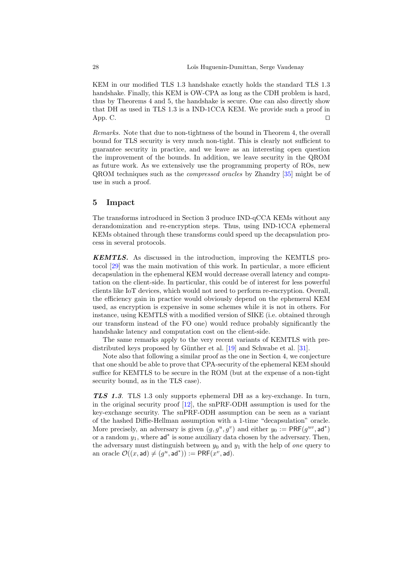KEM in our modified TLS 1.3 handshake exactly holds the standard TLS 1.3 handshake. Finally, this KEM is OW-CPA as long as the CDH problem is hard, thus by Theorems [4](#page-17-0) and [5,](#page-22-0) the handshake is secure. One can also directly show that DH as used in TLS 1.3 is a IND-1CCA KEM. We provide such a proof in App. [C.](#page-38-0)

Remarks. Note that due to non-tightness of the bound in Theorem [4,](#page-17-0) the overall bound for TLS security is very much non-tight. This is clearly not sufficient to guarantee security in practice, and we leave as an interesting open question the improvement of the bounds. In addition, we leave security in the QROM as future work. As we extensively use the programming property of ROs, new QROM techniques such as the compressed oracles by Zhandry [\[35\]](#page-31-6) might be of use in such a proof.

## <span id="page-27-0"></span>5 Impact

The transforms introduced in Section [3](#page-6-1) produce IND-qCCA KEMs without any derandomization and re-encryption steps. Thus, using IND-1CCA ephemeral KEMs obtained through these transforms could speed up the decapsulation process in several protocols.

KEMTLS. As discussed in the introduction, improving the KEMTLS protocol [\[29\]](#page-31-0) was the main motivation of this work. In particular, a more efficient decapsulation in the ephemeral KEM would decrease overall latency and computation on the client-side. In particular, this could be of interest for less powerful clients like IoT devices, which would not need to perform re-encryption. Overall, the efficiency gain in practice would obviously depend on the ephemeral KEM used, as encryption is expensive in some schemes while it is not in others. For instance, using KEMTLS with a modified version of SIKE (i.e. obtained through our transform instead of the FO one) would reduce probably significantly the handshake latency and computation cost on the client-side.

The same remarks apply to the very recent variants of KEMTLS with predistributed keys proposed by Günther et al.  $[19]$  and Schwabe et al.  $[31]$ .

Note also that following a similar proof as the one in Section [4,](#page-15-0) we conjecture that one should be able to prove that CPA-security of the ephemeral KEM should suffice for KEMTLS to be secure in the ROM (but at the expense of a non-tight security bound, as in the TLS case).

TLS 1.3. TLS 1.3 only supports ephemeral DH as a key-exchange. In turn, in the original security proof [\[12\]](#page-30-3), the snPRF-ODH assumption is used for the key-exchange security. The snPRF-ODH assumption can be seen as a variant of the hashed Diffie-Hellman assumption with a 1-time "decapsulation" oracle. More precisely, an adversary is given  $(g, g^u, g^v)$  and either  $y_0 := \text{PRF}(g^{uv}, \text{ad}^*)$ or a random  $y_1$ , where  $\mathsf{ad}^*$  is some auxiliary data chosen by the adversary. Then, the adversary must distinguish between  $y_0$  and  $y_1$  with the help of one query to an oracle  $\mathcal{O}((x, \textsf{ad}) \neq (g^u, \textsf{ad}^*)) := \mathsf{PRF}(x^v, \textsf{ad})$ .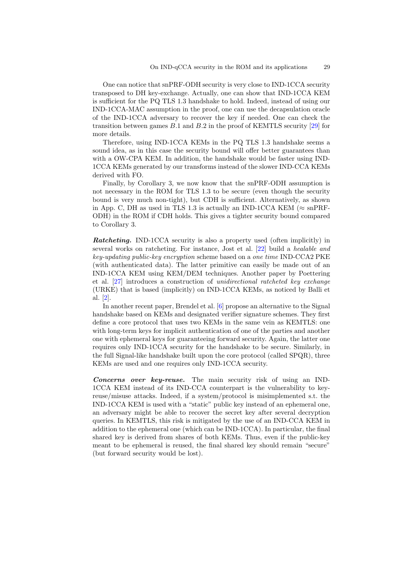One can notice that snPRF-ODH security is very close to IND-1CCA security transposed to DH key-exchange. Actually, one can show that IND-1CCA KEM is sufficient for the PQ TLS 1.3 handshake to hold. Indeed, instead of using our IND-1CCA-MAC assumption in the proof, one can use the decapsulation oracle of the IND-1CCA adversary to recover the key if needed. One can check the transition between games  $B.1$  and  $B.2$  in the proof of KEMTLS security [\[29\]](#page-31-0) for more details.

Therefore, using IND-1CCA KEMs in the PQ TLS 1.3 handshake seems a sound idea, as in this case the security bound will offer better guarantees than with a OW-CPA KEM. In addition, the handshake would be faster using IND-1CCA KEMs generated by our transforms instead of the slower IND-CCA KEMs derived with FO.

Finally, by Corollary [3,](#page-26-0) we now know that the snPRF-ODH assumption is not necessary in the ROM for TLS 1.3 to be secure (even though the security bound is very much non-tight), but CDH is sufficient. Alternatively, as shown in App. [C,](#page-38-0) DH as used in TLS 1.3 is actually an IND-1CCA KEM ( $\approx$  snPRF-ODH) in the ROM if CDH holds. This gives a tighter security bound compared to Corollary [3.](#page-26-0)

**Ratcheting.** IND-1CCA security is also a property used (often implicitly) in several works on ratcheting. For instance, Jost et al. [\[22\]](#page-30-14) build a healable and key-updating public-key encryption scheme based on a one time IND-CCA2 PKE (with authenticated data). The latter primitive can easily be made out of an IND-1CCA KEM using KEM/DEM techniques. Another paper by Poettering et al. [\[27\]](#page-31-7) introduces a construction of unidirectional ratcheted key exchange (URKE) that is based (implicitly) on IND-1CCA KEMs, as noticed by Balli et al. [\[2\]](#page-29-6).

In another recent paper, Brendel et al. [\[6\]](#page-29-4) propose an alternative to the Signal handshake based on KEMs and designated verifier signature schemes. They first define a core protocol that uses two KEMs in the same vein as KEMTLS: one with long-term keys for implicit authentication of one of the parties and another one with ephemeral keys for guaranteeing forward security. Again, the latter one requires only IND-1CCA security for the handshake to be secure. Similarly, in the full Signal-like handshake built upon the core protocol (called SPQR), three KEMs are used and one requires only IND-1CCA security.

Concerns over key-reuse. The main security risk of using an IND-1CCA KEM instead of its IND-CCA counterpart is the vulnerability to keyreuse/misuse attacks. Indeed, if a system/protocol is misimplemented s.t. the IND-1CCA KEM is used with a "static" public key instead of an ephemeral one, an adversary might be able to recover the secret key after several decryption queries. In KEMTLS, this risk is mitigated by the use of an IND-CCA KEM in addition to the ephemeral one (which can be IND-1CCA). In particular, the final shared key is derived from shares of both KEMs. Thus, even if the public-key meant to be ephemeral is reused, the final shared key should remain "secure" (but forward security would be lost).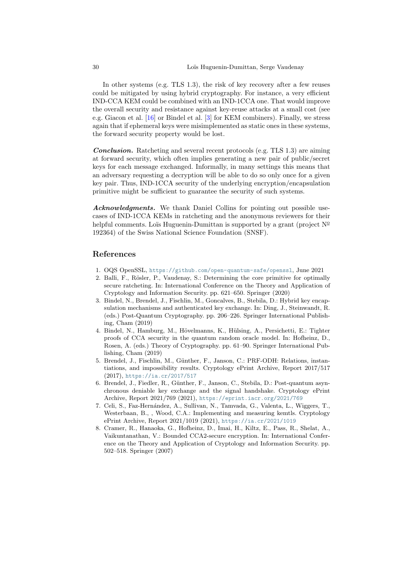In other systems (e.g. TLS 1.3), the risk of key recovery after a few reuses could be mitigated by using hybrid cryptography. For instance, a very efficient IND-CCA KEM could be combined with an IND-1CCA one. That would improve the overall security and resistance against key-reuse attacks at a small cost (see e.g. Giacon et al. [\[16\]](#page-30-15) or Bindel et al. [\[3\]](#page-29-7) for KEM combiners). Finally, we stress again that if ephemeral keys were misimplemented as static ones in these systems, the forward security property would be lost.

Conclusion. Ratcheting and several recent protocols (e.g. TLS 1.3) are aiming at forward security, which often implies generating a new pair of public/secret keys for each message exchanged. Informally, in many settings this means that an adversary requesting a decryption will be able to do so only once for a given key pair. Thus, IND-1CCA security of the underlying encryption/encapsulation primitive might be sufficient to guarantee the security of such systems.

Acknowledgments. We thank Daniel Collins for pointing out possible usecases of IND-1CCA KEMs in ratcheting and the anonymous reviewers for their helpful comments. Loïs Huguenin-Dumittan is supported by a grant (project  $N^{\circ}$ 192364) of the Swiss National Science Foundation (SNSF).

### References

- <span id="page-29-0"></span>1. OQS OpenSSL, <https://github.com/open-quantum-safe/openssl>, June 2021
- <span id="page-29-6"></span>2. Balli, F., Rösler, P., Vaudenay, S.: Determining the core primitive for optimally secure ratcheting. In: International Conference on the Theory and Application of Cryptology and Information Security. pp. 621–650. Springer (2020)
- <span id="page-29-7"></span>3. Bindel, N., Brendel, J., Fischlin, M., Goncalves, B., Stebila, D.: Hybrid key encapsulation mechanisms and authenticated key exchange. In: Ding, J., Steinwandt, R. (eds.) Post-Quantum Cryptography. pp. 206–226. Springer International Publishing, Cham (2019)
- <span id="page-29-2"></span>4. Bindel, N., Hamburg, M., Hövelmanns, K., Hülsing, A., Persichetti, E.: Tighter proofs of CCA security in the quantum random oracle model. In: Hofheinz, D., Rosen, A. (eds.) Theory of Cryptography. pp. 61–90. Springer International Publishing, Cham (2019)
- <span id="page-29-3"></span>5. Brendel, J., Fischlin, M., Günther, F., Janson, C.: PRF-ODH: Relations, instantiations, and impossibility results. Cryptology ePrint Archive, Report 2017/517 (2017), <https://ia.cr/2017/517>
- <span id="page-29-4"></span>6. Brendel, J., Fiedler, R., Günther, F., Janson, C., Stebila, D.: Post-quantum asynchronous deniable key exchange and the signal handshake. Cryptology ePrint Archive, Report 2021/769 (2021), <https://eprint.iacr.org/2021/769>
- <span id="page-29-5"></span>7. Celi, S., Faz-Hern´andez, A., Sullivan, N., Tamvada, G., Valenta, L., Wiggers, T., Westerbaan, B., , Wood, C.A.: Implementing and measuring kemtls. Cryptology ePrint Archive, Report 2021/1019 (2021), <https://ia.cr/2021/1019>
- <span id="page-29-1"></span>8. Cramer, R., Hanaoka, G., Hofheinz, D., Imai, H., Kiltz, E., Pass, R., Shelat, A., Vaikuntanathan, V.: Bounded CCA2-secure encryption. In: International Conference on the Theory and Application of Cryptology and Information Security. pp. 502–518. Springer (2007)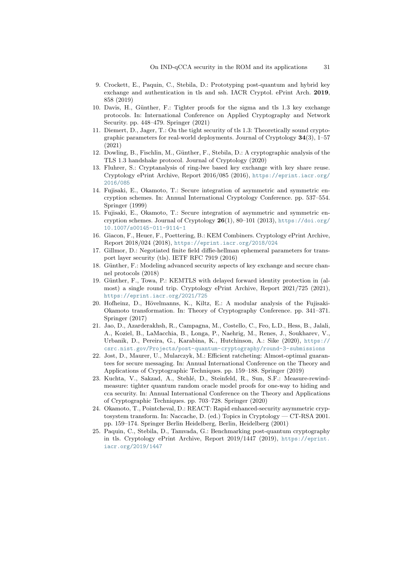- <span id="page-30-1"></span>9. Crockett, E., Paquin, C., Stebila, D.: Prototyping post-quantum and hybrid key exchange and authentication in tls and ssh. IACR Cryptol. ePrint Arch. 2019, 858 (2019)
- <span id="page-30-10"></span>10. Davis, H., Günther, F.: Tighter proofs for the sigma and tls 1.3 key exchange protocols. In: International Conference on Applied Cryptography and Network Security. pp. 448–479. Springer (2021)
- <span id="page-30-9"></span>11. Diemert, D., Jager, T.: On the tight security of tls 1.3: Theoretically sound cryptographic parameters for real-world deployments. Journal of Cryptology  $34(3)$ , 1–57 (2021)
- <span id="page-30-3"></span>12. Dowling, B., Fischlin, M., Günther, F., Stebila, D.: A cryptographic analysis of the TLS 1.3 handshake protocol. Journal of Cryptology (2020)
- <span id="page-30-6"></span>13. Fluhrer, S.: Cryptanalysis of ring-lwe based key exchange with key share reuse. Cryptology ePrint Archive, Report 2016/085 (2016), [https://eprint.iacr.org/](https://eprint.iacr.org/2016/085) [2016/085](https://eprint.iacr.org/2016/085)
- <span id="page-30-7"></span>14. Fujisaki, E., Okamoto, T.: Secure integration of asymmetric and symmetric encryption schemes. In: Annual International Cryptology Conference. pp. 537–554. Springer (1999)
- <span id="page-30-0"></span>15. Fujisaki, E., Okamoto, T.: Secure integration of asymmetric and symmetric encryption schemes. Journal of Cryptology 26(1), 80–101 (2013), [https://doi.org/](https://doi.org/10.1007/s00145-011-9114-1) [10.1007/s00145-011-9114-1](https://doi.org/10.1007/s00145-011-9114-1)
- <span id="page-30-15"></span>16. Giacon, F., Heuer, F., Poettering, B.: KEM Combiners. Cryptology ePrint Archive, Report 2018/024 (2018), <https://eprint.iacr.org/2018/024>
- <span id="page-30-16"></span>17. Gillmor, D.: Negotiated finite field diffie-hellman ephemeral parameters for transport layer security (tls). IETF RFC 7919 (2016)
- <span id="page-30-13"></span>18. Günther, F.: Modeling advanced security aspects of key exchange and secure channel protocols (2018)
- <span id="page-30-11"></span>19. Günther, F., Towa, P.: KEMTLS with delayed forward identity protection in (almost) a single round trip. Cryptology ePrint Archive, Report 2021/725 (2021), <https://eprint.iacr.org/2021/725>
- <span id="page-30-4"></span>20. Hofheinz, D., Hövelmanns, K., Kiltz, E.: A modular analysis of the Fujisaki-Okamoto transformation. In: Theory of Cryptography Conference. pp. 341–371. Springer (2017)
- <span id="page-30-5"></span>21. Jao, D., Azarderakhsh, R., Campagna, M., Costello, C., Feo, L.D., Hess, B., Jalali, A., Koziel, B., LaMacchia, B., Longa, P., Naehrig, M., Renes, J., Soukharev, V., Urbanik, D., Pereira, G., Karabina, K., Hutchinson, A.: Sike (2020), [https://](https://csrc.nist.gov/Projects/post-quantum-cryptography/round-3-submissions) [csrc.nist.gov/Projects/post-quantum-cryptography/round-3-submissions](https://csrc.nist.gov/Projects/post-quantum-cryptography/round-3-submissions)
- <span id="page-30-14"></span>22. Jost, D., Maurer, U., Mularczyk, M.: Efficient ratcheting: Almost-optimal guarantees for secure messaging. In: Annual International Conference on the Theory and Applications of Cryptographic Techniques. pp. 159–188. Springer (2019)
- <span id="page-30-8"></span>23. Kuchta, V., Sakzad, A., Stehlé, D., Steinfeld, R., Sun, S.F.: Measure-rewindmeasure: tighter quantum random oracle model proofs for one-way to hiding and cca security. In: Annual International Conference on the Theory and Applications of Cryptographic Techniques. pp. 703–728. Springer (2020)
- <span id="page-30-12"></span>24. Okamoto, T., Pointcheval, D.: REACT: Rapid enhanced-security asymmetric cryptosystem transform. In: Naccache, D. (ed.) Topics in Cryptology — CT-RSA 2001. pp. 159–174. Springer Berlin Heidelberg, Berlin, Heidelberg (2001)
- <span id="page-30-2"></span>25. Paquin, C., Stebila, D., Tamvada, G.: Benchmarking post-quantum cryptography in tls. Cryptology ePrint Archive, Report 2019/1447 (2019), [https://eprint.](https://eprint.iacr.org/2019/1447) [iacr.org/2019/1447](https://eprint.iacr.org/2019/1447)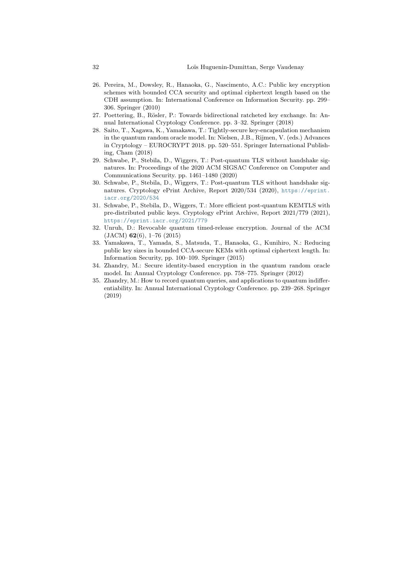- <span id="page-31-2"></span>26. Pereira, M., Dowsley, R., Hanaoka, G., Nascimento, A.C.: Public key encryption schemes with bounded CCA security and optimal ciphertext length based on the CDH assumption. In: International Conference on Information Security. pp. 299– 306. Springer (2010)
- <span id="page-31-7"></span>27. Poettering, B., Rösler, P.: Towards bidirectional ratcheted key exchange. In: Annual International Cryptology Conference. pp. 3–32. Springer (2018)
- <span id="page-31-4"></span>28. Saito, T., Xagawa, K., Yamakawa, T.: Tightly-secure key-encapsulation mechanism in the quantum random oracle model. In: Nielsen, J.B., Rijmen, V. (eds.) Advances in Cryptology – EUROCRYPT 2018. pp. 520–551. Springer International Publishing, Cham (2018)
- <span id="page-31-0"></span>29. Schwabe, P., Stebila, D., Wiggers, T.: Post-quantum TLS without handshake signatures. In: Proceedings of the 2020 ACM SIGSAC Conference on Computer and Communications Security. pp. 1461–1480 (2020)
- <span id="page-31-1"></span>30. Schwabe, P., Stebila, D., Wiggers, T.: Post-quantum TLS without handshake signatures. Cryptology ePrint Archive, Report 2020/534 (2020), [https://eprint.](https://eprint.iacr.org/2020/534) [iacr.org/2020/534](https://eprint.iacr.org/2020/534)
- <span id="page-31-5"></span>31. Schwabe, P., Stebila, D., Wiggers, T.: More efficient post-quantum KEMTLS with pre-distributed public keys. Cryptology ePrint Archive, Report 2021/779 (2021), <https://eprint.iacr.org/2021/779>
- <span id="page-31-8"></span>32. Unruh, D.: Revocable quantum timed-release encryption. Journal of the ACM (JACM) 62(6), 1–76 (2015)
- <span id="page-31-3"></span>33. Yamakawa, T., Yamada, S., Matsuda, T., Hanaoka, G., Kunihiro, N.: Reducing public key sizes in bounded CCA-secure KEMs with optimal ciphertext length. In: Information Security, pp. 100–109. Springer (2015)
- <span id="page-31-9"></span>34. Zhandry, M.: Secure identity-based encryption in the quantum random oracle model. In: Annual Cryptology Conference. pp. 758–775. Springer (2012)
- <span id="page-31-6"></span>35. Zhandry, M.: How to record quantum queries, and applications to quantum indifferentiability. In: Annual International Cryptology Conference. pp. 239–268. Springer (2019)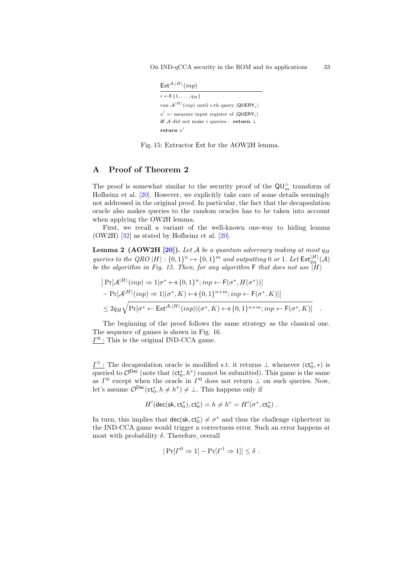<span id="page-32-1"></span>On IND-qCCA security in the ROM and its applications 33

```
Ext^{\mathcal{A},|H\rangle}(inp)
```
 $\overline{i \leftarrow \$\{1,\ldots,q_H\}}$ run  $A^{|H\rangle}(inp)$  until *i*-th query  $|QUERY_i\rangle$  $x' \leftarrow \text{measure input register of } |\text{QUERV}_i\rangle$ if  $A$  did not make *i* queries : **return** ⊥ return  $x'$ 

Fig. 15: Extractor Ext for the AOW2H lemma.

# <span id="page-32-0"></span>A Proof of Theorem [2](#page-10-1)

The proof is somewhat similar to the security proof of the  $\mathsf{QU}_{m}^{\perp}$  transform of Hofheinz et al. [\[20\]](#page-30-4). However, we explicitly take care of some details seemingly not addressed in the original proof. In particular, the fact that the decapsulation oracle also makes queries to the random oracles has to be taken into account when applying the OW2H lemma.

First, we recall a variant of the well-known one-way to hiding lemma (OW2H) [\[32\]](#page-31-8) as stated by Hofheinz et al. [\[20\]](#page-30-4).

<span id="page-32-2"></span>**Lemma 2 (AOW2H [\[20\]](#page-30-4)).** Let A be a quantum adversary making at most  $q_H$ queries to the QRO  $|H\rangle : \{0,1\}^n \mapsto \{0,1\}^m$  and outputting 0 or 1. Let  $\text{Ext}_{q_H}^{|H\rangle}(\mathcal{A})$ be the algorithm in Fig. [15.](#page-32-1) Then, for any algorithm  $\mathsf F$  that does not use  $\overline{H}$ )

$$
|\Pr[\mathcal{A}^{|H\rangle}(inp) \Rightarrow 1 | \sigma^* \leftarrow \S{0, 1}^n; inp \leftarrow F(\sigma^*, H(\sigma^*))]
$$
  
- 
$$
|\Pr[\mathcal{A}^{|H\rangle}(inp) \Rightarrow 1 | (\sigma^*, K) \leftarrow \S{0, 1}^{n+m}; inp \leftarrow F(\sigma^*, K)]|
$$
  

$$
\leq 2q_H \sqrt{\Pr[\sigma^* \leftarrow \text{Ext}^{\mathcal{A}, |H\rangle}(inp)|(\sigma^*, K) \leftarrow \S{0, 1}^{n+m}; inp \leftarrow F(\sigma^*, K)]}.
$$

The beginning of the proof follows the same strategy as the classical one. The sequence of games is shown in Fig. [16.](#page-33-0)

 $\underline{\Gamma^0}$ : This is the original IND-CCA game.

 $\underline{\Gamma}^1$ : The decapsulation oracle is modified s.t. it returns  $\bot$  whenever  $(ct_0^*, *)$  is queried to  $\mathcal{O}^{\text{Dec}}$  (note that  $(\text{ct}_0^*, h^*)$  cannot be submitted). This game is the same as  $\Gamma^0$  except when the oracle in  $\Gamma^0$  does not return  $\perp$  on such queries. Now, let's assume  $\mathcal{O}^{\text{Dec}}(\text{ct}_0^*, h \neq h^*) \neq \bot$ . This happens only if

$$
H'(\mathsf{dec}(\mathsf{sk},\mathsf{ct}^*_0),\mathsf{ct}^*_0) = h \neq h^* = H'(\sigma^*,\mathsf{ct}^*_0) \ .
$$

In turn, this implies that  $\text{dec}(\mathsf{sk}, \text{ct}^*_0) \neq \sigma^*$  and thus the challenge ciphertext in the IND-CCA game would trigger a correctness error. Such an error happens at most with probability  $\delta$ . Therefore, overall

$$
|\Pr[\Gamma^0 \Rightarrow 1] - \Pr[\Gamma^1 \Rightarrow 1]| \le \delta
$$
.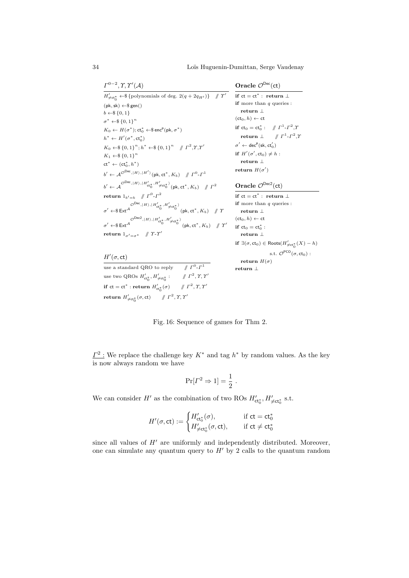<span id="page-33-0"></span> $\varGamma^{0-2}, \varUpsilon, \varUpsilon'(\mathcal{A})$ 

 $H'(\sigma, ct)$ 

Oracle  $\mathcal{O}^{\mathsf{Dec}}(\mathsf{ct})$ 

```
H'_{\neq ct_0^*} \leftarrow \{polynomials of deg. 2(q + 2q_{H'})} // \Upsilon'(\text{pk}, \text{sk}) \leftarrow \$ \text{gen}()b \leftarrow\!\!\$ \{0,1\}\sigma^* \leftarrow \$\{0,1\}^nK_0 \leftarrow H(\sigma^*); \operatorname{ct}_0^* \leftarrow \$ \operatorname{enc}^{\operatorname{p}}(\operatorname{pk}, \sigma^*)h^* \leftarrow H'(\sigma^*, \text{ct}_0^*)K_0 \leftarrow \{0, 1\}^n; h^* \leftarrow \{0, 1\}^n \quad \text{\textbackslash} \quad \Gamma^2, \Upsilon, \Upsilon'K_1 \leftarrow \{0, 1\}^n\mathsf{ct}^* \leftarrow (\mathsf{ct}_0^*, h^*)b' \leftarrow \mathcal{A}^{\mathcal{O}Dec}, \ket{H}, \ket{H'} (\mathsf{pk}, \mathsf{ct}^*, K_b) \quad \text{if } \Gamma^0 \text{-} \Gamma^1b' \leftarrow \mathcal{A}^{\mathcal{O} \mathsf{Dec}\, ,\, |H\rangle ,\, |H'_{\mathsf{ct}_0^*},\, H'_{\neq \mathsf{ct}_0^*} \rangle } (\mathsf{pk},\mathsf{ct}^*,K_b) \quad \mathcal{N} \; I^2return 1_{b'=b} // \int \Gamma^0-\Gamma^2\sigma' \leftarrow \text{Ext}^{\mathcal{A}} \text{Ext}^{(p)}(\text{pk}, \text{ct}^*, K_b) \quad / \gamma\sigma' \leftarrow \text{\texttt{Ext}}^{\mathcal{O} \texttt{Dec2}}, \ket{H}, \ket{H'_{\mathsf{ct}_0^\ast}, H'_{\neq \mathsf{ct}_0^\ast}} (\mathsf{pk}, \mathsf{ct}^\ast, K_b) \quad \text{\textcolor{red}{\not} \textcolor{red}{\mathcal{V}}} \Upsilon'return 1_{\sigma'=\sigma^*} // \Upsilon-\Upsilon'if ct = ct^* : return \perpif more than q queries :
                                                                                                                                                 return ⊥
                                                                                                                                           (ct_0, h) \leftarrow ctif ct_0 = ct_0^*: // \Gamma^1-\Gamma^2,\gammareturn \bot\sigma' \leftarrow \mathsf{dec}^{\mathsf{p}}(\mathsf{sk},\mathsf{ct}_0')if H'(\sigma', ct_0) \neq h:
                                                                                                                                                 return ⊥
                                                                                                                                            return H(\sigma')
```
Oracle  $\mathcal{O}^{\mathsf{Dec2}}(\mathsf{ct})$ if  $ct = ct^* : return \perp$  $\operatorname{\textbf{if}}$  more than  $q$  queries : return ⊥  $(ct_0, h) \leftarrow ct$ if  $ct_0 = ct_0^*$ : return ⊥ if  $\exists(\sigma,ct_0)\in \text{Roots}(H'_{\neq ct_0^*}(X)-h)$ s.t.  $\mathcal{O}^{\mathsf{PCO}}(\sigma, \mathsf{ct}_0)$  : return  $H(\sigma)$ 

return ⊥

 $T^2, T^2, T$ 

```
use a standard QRO to reply \qquad // \Gamma^0-\Gamma^1use two QROs H'_{\mathsf{ct}_0^*}, H'_{\neq \mathsf{ct}_0^*} : \qquad \text{\# } \Gamma^2, \Upsilon, \Upsilon'if ct = ct^* : return H'_{ct_0^*}(\sigma) \quad \text{if } \Gamma^2, \Upsilon, \Upsilon'\textbf{return}~~ H'_{\neq \mathsf{ct}_0^*}(\sigma, \mathsf{ct}) \qquad \mathcal{N} ~\varGamma^2, \varUpsilon, \varUpsilon'
```
Fig. 16: Sequence of games for Thm [2.](#page-10-1)

 $\underline{\Gamma^2}$ : We replace the challenge key  $K^*$  and tag  $h^*$  by random values. As the key is now always random we have

$$
\Pr[\Gamma^2 \Rightarrow 1] = \frac{1}{2} .
$$

We can consider  $H'$  as the combination of two ROs  $H'_{\mathsf{ct}_0^*}, H'_{\neq \mathsf{ct}_0^*}$  s.t.

$$
H'(\sigma, \text{ct}) := \begin{cases} H'_{\text{ct}_0^*}(\sigma), & \text{if } \text{ct} = \text{ct}_0^* \\ H'_{\neq \text{ct}_0^*}(\sigma, \text{ct}), & \text{if } \text{ct} \neq \text{ct}_0^* \end{cases}
$$

since all values of  $H'$  are uniformly and independently distributed. Moreover, one can simulate any quantum query to  $H'$  by 2 calls to the quantum random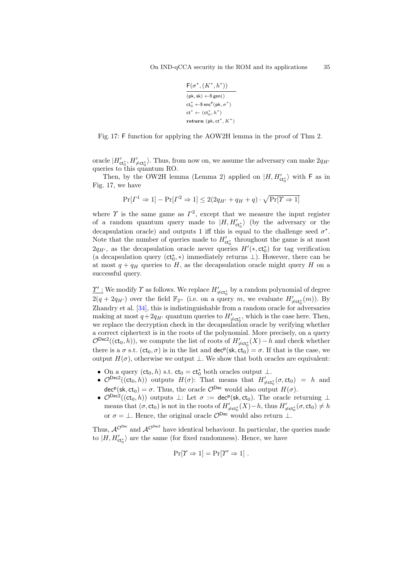$$
\begin{aligned} &\frac{\mathsf{F}(\sigma^*,(K^*,h^*))}{(\mathsf{pk},\mathsf{sk})\leftarrow\!\mathsf{\$gen}()}\\ &\mathsf{ct}_0^*\leftarrow\!\mathsf{sen}^{\mathsf{p}}(\mathsf{pk},\sigma^*)\\ &\mathsf{ct}^*\leftarrow(\mathsf{ct}_0^*,h^*)\\ &\mathsf{return}\;(\mathsf{pk},\mathsf{ct}^*,K^*) \end{aligned}
$$

<span id="page-34-0"></span>Fig. 17: F function for applying the AOW2H lemma in the proof of Thm [2.](#page-10-1)

oracle  $|H'_{\mathsf{ct}_0^*}, H'_{\neq \mathsf{ct}_0^*}\rangle$ . Thus, from now on, we assume the adversary can make  $2q_{H'}$ queries to this quantum RO.

Then, by the OW2H lemma (Lemma [2\)](#page-32-2) applied on  $|H, H'_{\text{ct}_0}\rangle$  with F as in Fig. [17,](#page-34-0) we have

$$
\Pr[\Gamma^1 \Rightarrow 1] - \Pr[\Gamma^2 \Rightarrow 1] \le 2(2q_{H'} + q_H + q) \cdot \sqrt{\Pr[\Upsilon \Rightarrow 1]}
$$

where  $\Upsilon$  is the same game as  $\Gamma^2$ , except that we measure the input register of a random quantum query made to  $|H, H'_{\text{ct}_0^*}\rangle$  (by the adversary or the decapsulation oracle) and outputs 1 iff this is equal to the challenge seed  $\sigma^*$ . Note that the number of queries made to  $H'_{\text{ct}_0^*}$  throughout the game is at most  $2q_{H'}$ , as the decapsulation oracle never queries  $H'(*, \text{ct}^*_0)$  for tag verification (a decapsulation query  $(ct_0^*, *)$  immediately returns  $\bot$ ). However, there can be at most  $q + q_H$  queries to H, as the decapsulation oracle might query H on a successful query.

 $\underline{\gamma'}$  : We modify  $\varUpsilon$  as follows. We replace  $H'_{\neq \mathsf{ct}^*_0}$  by a random polynomial of degree  $2(q + 2q_{H'})$  over the field  $\mathbb{F}_{2^n}$  (i.e. on a query m, we evaluate  $H'_{\neq ct_0^*}(m)$ ). By Zhandry et al. [\[34\]](#page-31-9), this is indistinguishable from a random oracle for adversaries making at most  $q+2q_{H'}$  quantum queries to  $H'_{\neq ct_0^*}$ , which is the case here. Then, we replace the decryption check in the decapsulation oracle by verifying whether a correct ciphertext is in the roots of the polynomial. More precisely, on a query  $\mathcal{O}^{\text{Dec2}}((\text{ct}_0, h))$ , we compute the list of roots of  $H'_{\neq \text{ct}_0^*}(X) - h$  and check whether there is a  $\sigma$  s.t.  $(ct_0, \sigma)$  is in the list and  $dec^p(sk, ct_0) = \sigma$ . If that is the case, we output  $H(\sigma)$ , otherwise we output  $\perp$ . We show that both oracles are equivalent:

- On a query  $(ct_0, h)$  s.t.  $ct_0 = ct_0^*$  both oracles output  $\perp$ .
- $\mathcal{O}^{\text{Dec2}}((\text{ct}_0, h))$  outputs  $H(\sigma)$ : That means that  $H'_{\neq \text{ct}_0^*}(\sigma, \text{ct}_0) = h$  and  $\text{dec}^p(\textsf{sk}, \textsf{ct}_0) = \sigma$ . Thus, the oracle  $\mathcal{O}^{\textsf{Dec}}$  would also output  $H(\sigma)$ .
- $\mathcal{O}^{\text{Dec2}}((\text{ct}_0, h))$  outputs  $\perp$ : Let  $\sigma := \text{dec}^p(\text{sk}, \text{ct}_0)$ . The oracle returning  $\perp$ means that  $(\sigma, ct_0)$  is not in the roots of  $H'_{\neq ct_0^*}(X)-h$ , thus  $H'_{\neq ct_0^*}(\sigma, ct_0) \neq h$ or  $\sigma = \bot$ . Hence, the original oracle  $\mathcal{O}^{\text{Dec}}$  would also return  $\bot$ .

Thus,  $A^{\mathcal{O}^{\text{Dec}}}$  and  $A^{\mathcal{O}^{\text{Dec2}}}$  have identical behaviour. In particular, the queries made to  $|H,H_{\sf ct_0^*}^{\prime}\rangle$  are the same (for fixed randomness). Hence, we have

$$
\Pr[\varUpsilon \Rightarrow 1] = \Pr[\varUpsilon' \Rightarrow 1] \ .
$$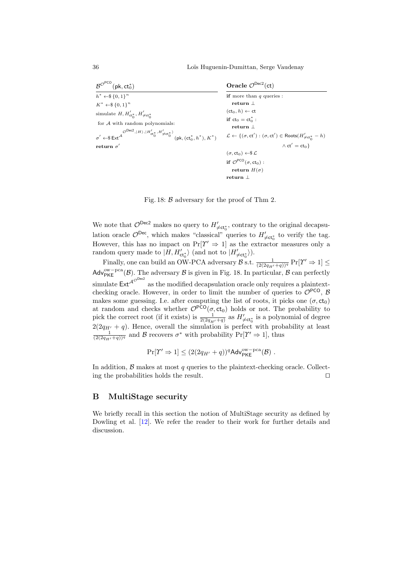36 Lo¨ıs Huguenin-Dumittan, Serge Vaudenay

<span id="page-35-1"></span>

| $\mathcal{B}^{\mathcal{O}^{\text{PCO}}}(\text{pk},\text{ct}_0^*)$                                                                                                                                                                                                                                                                                                                     | Oracle $\mathcal{O}^{\text{Dec2}}(\text{ct})$                                                                                                                                                                                                                |
|---------------------------------------------------------------------------------------------------------------------------------------------------------------------------------------------------------------------------------------------------------------------------------------------------------------------------------------------------------------------------------------|--------------------------------------------------------------------------------------------------------------------------------------------------------------------------------------------------------------------------------------------------------------|
| $h^* \leftarrow \$\{0,1\}^n$<br>$K^* \leftarrow \$\{0,1\}^n$<br>simulate $H, H'_{\text{ct}^*_{0}}, H'_{\neq \text{ct}^*_{0}}$<br>for $A$ with random polynomials:<br>$\sigma' \leftarrow \$ \operatorname{Ext}^{\mathcal{A}}({\rm{Dec}}^2,  H\rangle,  H'_{\operatorname{ct}_0^*}, H'_{\neq \operatorname{ct}_0^*})({\rm{pk}}, \left({\operatorname{ct}_0^*}, h^*\right), K^*\right)$ | <b>if</b> more than $q$ queries :<br>return $\perp$<br>$(ct_0, h) \leftarrow ct$<br>if $ct_0 = ct_0^*$ :<br>return $\perp$<br>$\mathcal{L} \leftarrow \{(\sigma, \textsf{ct}'): (\sigma, \textsf{ct}') \in \textsf{Roots}(H'_{\neq \textsf{ct}_0^*} - h) \}$ |
| return $\sigma'$                                                                                                                                                                                                                                                                                                                                                                      | $\wedge$ ct' = ct <sub>0</sub> }<br>$(\sigma, ct_0) \leftarrow \$\mathcal{L}$<br>if $\mathcal{O}^{PCO}(\sigma, ct_0)$ :                                                                                                                                      |
|                                                                                                                                                                                                                                                                                                                                                                                       | return $H(\sigma)$<br>return $\perp$                                                                                                                                                                                                                         |

Fig. 18: B adversary for the proof of Thm [2.](#page-10-1)

We note that  $\mathcal{O}^{\text{Dec2}}$  makes no query to  $H'_{\neq ct_0^*}$ , contrary to the original decapsulation oracle  $\mathcal{O}^{\text{Dec}}$ , which makes "classical" queries to  $H'_{\neq ct^*_{0}}$  to verify the tag. However, this has no impact on  $Pr[\Upsilon' \Rightarrow 1]$  as the extractor measures only a random query made to  $|H, H'_{\text{ct}_0^*}\rangle$  (and not to  $|H'_{\neq \text{ct}_0^*}\rangle$ ).

Finally, one can build an OW-PCA adversary  $\mathcal{B}$  s.t.  $\frac{1}{(2(2q_{H'}+q))^{q}} \Pr[\Upsilon' \Rightarrow 1] \leq$ Adv<sup>ow–pca</sup>( $\beta$ ). The adversary  $\beta$  is given in Fig. [18.](#page-35-1) In particular,  $\beta$  can perfectly simulate  $\mathsf{Ext}^{\mathcal{A}^{\mathcal{O} \mathrm{Dec2}}}$  as the modified decapsulation oracle only requires a plaintextchecking oracle. However, in order to limit the number of queries to  $\mathcal{O}^{PCO}$ ,  $\mathcal{B}$ makes some guessing. I.e. after computing the list of roots, it picks one  $(\sigma, ct_0)$ at random and checks whether  $\mathcal{O}^{PCO}(\sigma, ct_0)$  holds or not. The probability to pick the correct root (if it exists) is  $\frac{1}{2(2q_{H'}+q)}$  as  $H'_{\neq ct_0^*}$  is a polynomial of degree  $2(2q_{H'} + q)$ . Hence, overall the simulation is perfect with probability at least  $\frac{1}{(2(2q_{H'}+q))^q}$  and B recovers  $\sigma^*$  with probability  $Pr[\Upsilon' \Rightarrow 1]$ , thus

$$
\Pr[\Upsilon' \Rightarrow 1] \leq (2(2q_{H'} + q))^q \text{Adv}_{\mathsf{PKE}}^{\text{ow-pca}}(\mathcal{B}) \ .
$$

In addition,  $\beta$  makes at most q queries to the plaintext-checking oracle. Collecting the probabilities holds the result.  $\Box$ 

# <span id="page-35-0"></span>B MultiStage security

We briefly recall in this section the notion of MultiStage security as defined by Dowling et al. [\[12\]](#page-30-3). We refer the reader to their work for further details and discussion.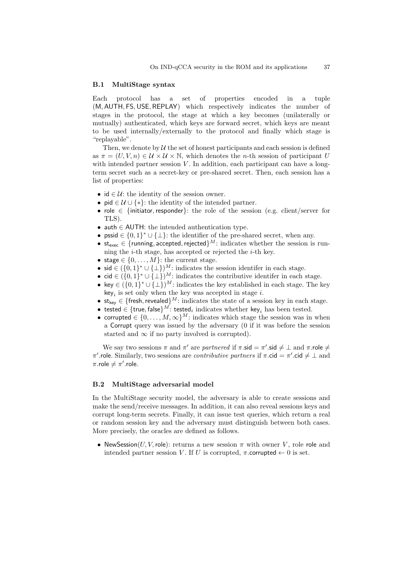#### B.1 MultiStage syntax

Each protocol has a set of properties encoded in a tuple (M, AUTH, FS,USE, REPLAY) which respectively indicates the number of stages in the protocol, the stage at which a key becomes (unilaterally or mutually) authenticated, which keys are forward secret, which keys are meant to be used internally/externally to the protocol and finally which stage is "replayable".

Then, we denote by  $\mathcal U$  the set of honest participants and each session is defined as  $\pi = (U, V, n) \in \mathcal{U} \times \mathcal{U} \times \mathbb{N}$ , which denotes the *n*-th session of participant U with intended partner session  $V$ . In addition, each participant can have a longterm secret such as a secret-key or pre-shared secret. Then, each session has a list of properties:

- id  $\in \mathcal{U}$ : the identity of the session owner.
- pid  $\in \mathcal{U} \cup \{*\}$ : the identity of the intended partner.
- role ∈ {initiator,responder}: the role of the session (e.g. client/server for TLS).
- auth  $\in$  AUTH: the intended authentication type.
- pssid  $\in \{0,1\}^* \cup \{\perp\}$ : the identifier of the pre-shared secret, when any.
- $st_{exec} \in \{running, accepted, rejected\}^M$ : indicates whether the session is running the  $i$ -th stage, has accepted or rejected the  $i$ -th key.
- stage  $\in \{0, \ldots, M\}$ : the current stage.
- sid  $\in (\{0,1\}^* \cup \{\perp\})^M$ : indicates the session identifer in each stage.
- cid  $\in (\{0,1\}^* \cup {\{\perp\}})^M$ : indicates the contributive identifer in each stage.
- key  $\in (\{0,1\}^* \cup {\{\perp\}})^M$ : indicates the key established in each stage. The key  $key_i$  is set only when the key was accepted in stage i.
- $\mathsf{st}_{\mathsf{key}} \in \{\mathsf{fresh}, \mathsf{revealed}\}^M$ : indicates the state of a session key in each stage.
- tested  $\in \{\text{true}, \text{false}\}^M$ : tested<sub>i</sub> indicates whether key<sub>i</sub> has been tested.
- corrupted  $\in \{0, \ldots, M, \infty\}^M$ : indicates which stage the session was in when a Corrupt query was issued by the adversary (0 if it was before the session started and  $\infty$  if no party involved is corrupted).

We say two sessions  $\pi$  and  $\pi'$  are partnered if  $\pi$  sid  $= \pi'$  sid  $\neq \bot$  and  $\pi$  role  $\neq$ π'.role. Similarly, two sessions are *contributive partners* if  $π$ .cid =  $π'$ .cid  $\neq \bot$  and  $\pi$ .role  $\neq \pi'$ .role.

#### B.2 MultiStage adversarial model

In the MultiStage security model, the adversary is able to create sessions and make the send/receive messages. In addition, it can also reveal sessions keys and corrupt long-term secrets. Finally, it can issue test queries, which return a real or random session key and the adversary must distinguish between both cases. More precisely, the oracles are defined as follows.

• NewSession(U, V, role): returns a new session  $\pi$  with owner V, role role and intended partner session V. If U is corrupted,  $\pi$ .corrupted  $\leftarrow$  0 is set.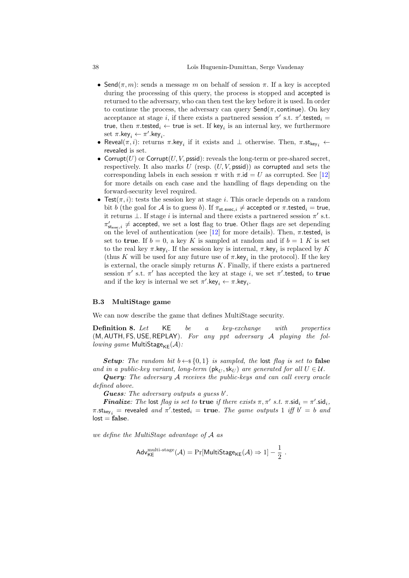- Send $(\pi, m)$ : sends a message m on behalf of session  $\pi$ . If a key is accepted during the processing of this query, the process is stopped and accepted is returned to the adversary, who can then test the key before it is used. In order to continue the process, the adversary can query  $\mathsf{Send}(\pi, \mathsf{continue})$ . On key acceptance at stage *i*, if there exists a partnered session  $\pi'$  s.t.  $\pi'$ .tested<sub>*i*</sub> true, then  $\pi$  tested<sub>i</sub>  $\leftarrow$  true is set. If key<sub>i</sub> is an internal key, we furthermore set  $\pi$ .key $_i \leftarrow \pi'$ .key $_i$ .
- Reveal $(\pi, i)$ : returns  $\pi$ .key<sub>i</sub> if it exists and  $\bot$  otherwise. Then,  $\pi$ .st<sub>key<sub>i</sub>  $\leftarrow$ </sub> revealed is set.
- Corrupt $(U)$  or Corrupt $(U, V, p\text{ssid})$ : reveals the long-term or pre-shared secret, respectively. It also marks  $U$  (resp.  $(U, V, \text{pssid})$ ) as corrupted and sets the corresponding labels in each session  $\pi$  with  $\pi$ .id = U as corrupted. See [\[12\]](#page-30-3) for more details on each case and the handling of flags depending on the forward-security level required.
- Test $(\pi, i)$ : tests the session key at stage *i*. This oracle depends on a random bit b (the goal for A is to guess b). If  $\pi_{st.exec,i} \neq$  accepted or  $\pi$  tested<sub>i</sub> = true, it returns  $\perp$ . If stage i is internal and there exists a partnered session  $\pi'$  s.t.  $\pi'_{{\sf st}_{\sf exec},i} \neq {\sf accepted}$ , we set a lost flag to true. Other flags are set depending on the level of authentication (see [\[12\]](#page-30-3) for more details). Then,  $\pi$  tested<sub>i</sub> is set to **true**. If  $b = 0$ , a key K is sampled at random and if  $b = 1$  K is set to the real key  $\pi$ .key<sub>i</sub>. If the session key is internal,  $\pi$ .key<sub>i</sub> is replaced by K (thus K will be used for any future use of  $\pi$ .key<sub>i</sub> in the protocol). If the key is external, the oracle simply returns  $K$ . Finally, if there exists a partnered session  $\pi'$  s.t.  $\pi'$  has accepted the key at stage i, we set  $\pi'$ .tested<sub>i</sub> to true and if the key is internal we set  $\pi'$ .key<sub>i</sub>  $\leftarrow \pi$ .key<sub>i</sub>.

#### B.3 MultiStage game

We can now describe the game that defines MultiStage security.

**Definition 8.** Let KE be a key-exchange with properties  $(M, \text{AUTH}, \text{FS}, \text{USE}, \text{REPLAN})$ . For any ppt adversary A playing the following game MultiStage $_{KE}(\mathcal{A})$ :

**Setup:** The random bit  $b \leftarrow \S{0, 1}$  is sampled, the lost flag is set to false and in a public-key variant, long-term  $(\mathsf{pk}_{U}, \mathsf{sk}_{U})$  are generated for all  $U \in \mathcal{U}$ .

Query: The adversary A receives the public-keys and can call every oracle defined above.

**Guess:** The adversary outputs a guess  $b'$ .

**Finalize:** The lost flag is set to true if there exists  $\pi, \pi'$  s.t.  $\pi$ .sid<sub>i</sub> =  $\pi'$ .sid<sub>i</sub>,  $\pi.\mathsf{st}_{\mathsf{key}_i}$  = revealed and  $\pi'.\mathsf{tested}_i = \mathsf{true}.$  The game outputs 1 iff  $b' = b$  and  $lost = false$ .

we define the MultiStage advantage of A as

$$
\mathsf{Adv}_{\mathsf{KE}}^{\mathsf{multi-stage}}(\mathcal{A}) = \Pr[\mathsf{MultiStage}_{\mathsf{KE}}(\mathcal{A}) \Rightarrow 1] - \frac{1}{2}.
$$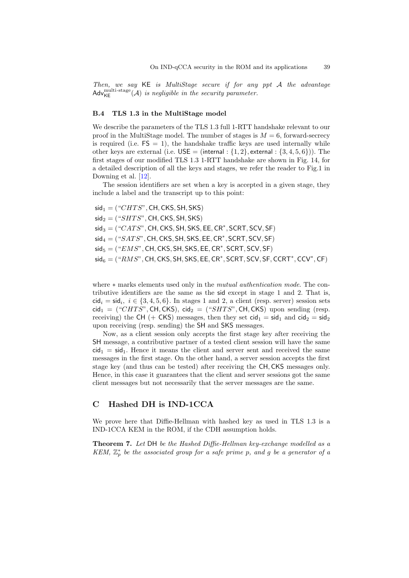Then, we say KE is MultiStage secure if for any ppt A the advantage  $\mathsf{Adv}_{\mathsf{KE}}^{\mathsf{multi-stage}}(\mathcal{A})$  is negligible in the security parameter.

#### B.4 TLS 1.3 in the MultiStage model

We describe the parameters of the TLS 1.3 full 1-RTT handshake relevant to our proof in the MultiStage model. The number of stages is  $M = 6$ , forward-secrecy is required (i.e.  $FS = 1$ ), the handshake traffic keys are used internally while other keys are external (i.e.  $USE = (internal : \{1, 2\}, external : \{3, 4, 5, 6\})$ ). The first stages of our modified TLS 1.3 1-RTT handshake are shown in Fig. [14,](#page-23-0) for a detailed description of all the keys and stages, we refer the reader to Fig.1 in Downing et al. [\[12\]](#page-30-3).

The session identifiers are set when a key is accepted in a given stage, they include a label and the transcript up to this point:

 $sid_1 = ("CHTS", CH, CKS, SH, SKS)$  $sig_2 = ("SHTS", CH, CKS, SH, SKS)$  $\mathsf{sid}_3 = (\text{``CATS''}, \mathsf{CH}, \mathsf{CKS}, \mathsf{SH}, \mathsf{SKS}, \mathsf{EE}, \mathsf{CR^*}, \mathsf{SCRT}, \mathsf{SCV}, \mathsf{SF})$  $\mathsf{sid}_4 = (\text{``SATS''}, \mathsf{CH}, \mathsf{CKS}, \mathsf{SH}, \mathsf{SKS}, \mathsf{EE}, \mathsf{CR^*}, \mathsf{SCRT}, \mathsf{SCV}, \mathsf{SF})$  $\mathsf{sid}_5 = (``EMS", \mathsf{CH}, \mathsf{CKS}, \mathsf{SH}, \mathsf{SKS}, \mathsf{EE}, \mathsf{CR}^*, \mathsf{SCRT}, \mathsf{SCV}, \mathsf{SF})$  $\mathsf{sid}_6 = (``RMS", \mathsf{CH}, \mathsf{CKS}, \mathsf{SH}, \mathsf{SKS}, \mathsf{EE}, \mathsf{CR}^*, \mathsf{SCRT}, \mathsf{SCV}, \mathsf{SF}, \mathsf{CCR}^*, \mathsf{CCV}^*, \mathsf{CF})$ 

where ∗ marks elements used only in the *mutual authentication mode*. The contributive identifiers are the same as the sid except in stage 1 and 2. That is,  $\mathsf{cid}_i = \mathsf{sid}_i, i \in \{3, 4, 5, 6\}.$  In stages 1 and 2, a client (resp. server) session sets  $\text{cid}_1 =$  ("CHTS", CH, CKS),  $\text{cid}_2 =$  ("SHTS", CH, CKS) upon sending (resp. receiving) the CH (+ CKS) messages, then they set  $\text{cid}_1 = \text{sid}_1$  and  $\text{cid}_2 = \text{sid}_2$ upon receiving (resp. sending) the SH and SKS messages.

Now, as a client session only accepts the first stage key after receiving the SH message, a contributive partner of a tested client session will have the same  $\text{cid}_{1} = \text{sid}_{1}$ . Hence it means the client and server sent and received the same messages in the first stage. On the other hand, a server session accepts the first stage key (and thus can be tested) after receiving the CH, CKS messages only. Hence, in this case it guarantees that the client and server sessions got the same client messages but not necessarily that the server messages are the same.

# <span id="page-38-0"></span>C Hashed DH is IND-1CCA

We prove here that Diffie-Hellman with hashed key as used in TLS 1.3 is a IND-1CCA KEM in the ROM, if the CDH assumption holds.

<span id="page-38-1"></span>Theorem 7. Let DH be the Hashed Diffie-Hellman key-exchange modelled as a KEM,  $\mathbb{Z}_p^*$  be the associated group for a safe prime p, and g be a generator of a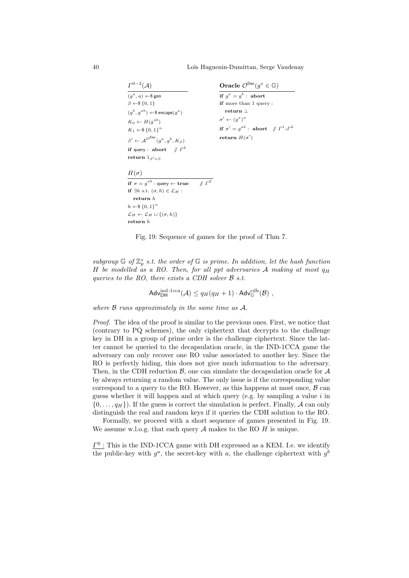40 Loïs Huguenin-Dumittan, Serge Vaudenay

| $\Gamma^{0-2}(\mathcal{A})$                                                     | Oracle $\mathcal{O}^{\text{Dec}}(g^x \in \mathbb{G})$         |
|---------------------------------------------------------------------------------|---------------------------------------------------------------|
| $(q^a, a) \leftarrow \$$ gen                                                    | if $q^x = q^b$ : abort                                        |
| $\beta \leftarrow \$\{0,1\}$                                                    | if more than 1 query:                                         |
| $(q^b, q^{ab}) \leftarrow \$$ encaps $(q^a)$                                    | return $\perp$                                                |
| $K_0 \leftarrow H(q^{ab})$                                                      | $\sigma' \leftarrow (q^x)^a$                                  |
| $K_1 \leftarrow \$\{0,1\}^n$                                                    | if $\sigma' = g^{ab}$ : abort $\# \Gamma^1 \text{-} \Gamma^2$ |
| $\beta' \leftarrow \mathcal{A}^{\mathcal{O}^{\mathsf{Dec}}}(q^a, q^b, K_\beta)$ | return $H(\sigma')$                                           |
| if query : abort $\# \Gamma^2$                                                  |                                                               |
| return $1_{\beta'=\beta}$                                                       |                                                               |
| $H(\sigma)$                                                                     |                                                               |
| $\mathbb{Z}^2$<br>if $\sigma = g^{ab}$ : query $\leftarrow$ true                |                                                               |
| if $\exists h$ s.t. $(\sigma, h) \in \mathcal{L}_H$ :                           |                                                               |
| return h                                                                        |                                                               |
| $h \leftarrow \$\{0,1\}^n$                                                      |                                                               |
| $\mathcal{L}_H \leftarrow \mathcal{L}_H \cup \{(\sigma, h)\}\$                  |                                                               |
| $_{\rm \bf return}$ $_{h}$                                                      |                                                               |

Fig. 19: Sequence of games for the proof of Thm [7.](#page-38-1)

subgroup  $\mathbb G$  of  $\mathbb Z_p^*$  s.t. the order of  $\mathbb G$  is prime. In addition, let the hash function H be modelled as a RO. Then, for all ppt adversaries  $A$  making at most  $q_H$ queries to the RO, there exists a CDH solver  $\beta$  s.t.

$$
\mathsf{Adv}_{\mathsf{DH}}^{\mathsf{ind}\text{-}\mathsf{lcca}}(\mathcal{A}) \leq q_H(q_H+1) \cdot \mathsf{Adv}_{\mathbb{G}}^{\mathsf{cdh}}(\mathcal{B}),
$$

where  $\beta$  runs approximately in the same time as  $\mathcal{A}$ .

Proof. The idea of the proof is similar to the previous ones. First, we notice that (contrary to PQ schemes), the only ciphertext that decrypts to the challenge key in DH in a group of prime order is the challenge ciphertext. Since the latter cannot be queried to the decapsulation oracle, in the IND-1CCA game the adversary can only recover one RO value associated to another key. Since the RO is perfectly hiding, this does not give much information to the adversary. Then, in the CDH reduction  $\beta$ , one can simulate the decapsulation oracle for  $\mathcal A$ by always returning a random value. The only issue is if the corresponding value correspond to a query to the RO. However, as this happens at most once,  $\beta$  can guess whether it will happen and at which query (e.g. by sampling a value  $i$  in  $\{0,\ldots,q_H\}\$ . If the guess is correct the simulation is perfect. Finally, A can only distinguish the real and random keys if it queries the CDH solution to the RO.

Formally, we proceed with a short sequence of games presented in Fig. [19.](#page-39-0) We assume w.l.o.g. that each query  $A$  makes to the RO  $H$  is unique.

 $\underline{\Gamma}^0$ : This is the IND-1CCA game with DH expressed as a KEM. I.e. we identify the public-key with  $g^a$ , the secret-key with a, the challenge ciphertext with  $g^b$ 

<span id="page-39-0"></span>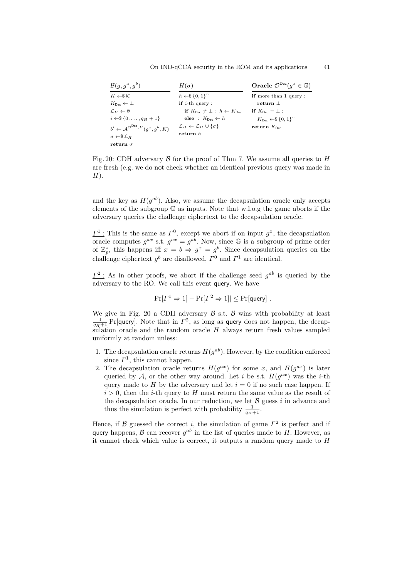#### On IND-qCCA security in the ROM and its applications 41

<span id="page-40-0"></span>

| $\mathcal{B}(q, q^a, q^b)$                                             | $H(\sigma)$                                                 | Oracle $\mathcal{O}^{\text{Dec}}(g^x \in \mathbb{G})$ |
|------------------------------------------------------------------------|-------------------------------------------------------------|-------------------------------------------------------|
| $K \leftarrow \& K$                                                    | $h \leftarrow \$\{0,1\}^n$                                  | <b>if</b> more than 1 query:                          |
| $K_{\text{Dec}} \leftarrow \perp$                                      | <b>if</b> <i>i</i> -th query :                              | $return \perp$                                        |
| $\mathcal{L}_H \leftarrow \emptyset$                                   | if $K_{\text{Dec}} \neq \bot : h \leftarrow K_{\text{Dec}}$ | if $K_{\text{Dec}} = \perp$ :                         |
| $i \leftarrow \$\{0, \ldots, q_H + 1\}$                                | else : $K_{\text{Dec}} \leftarrow h$                        | $K_{\text{Dec}} \leftarrow \{0,1\}^n$                 |
| $b' \leftarrow \mathcal{A}^{\mathcal{O}^{\text{Dec}}, H}(q^a, q^b, K)$ | $\mathcal{L}_H \leftarrow \mathcal{L}_H \cup \{\sigma\}$    | return $K_{\text{Dec}}$                               |
| $\sigma \leftarrow \$\mathcal{L}_H$                                    | return h                                                    |                                                       |
| return $\sigma$                                                        |                                                             |                                                       |

Fig. 20: CDH adversary  $\beta$  for the proof of Thm [7.](#page-38-1) We assume all queries to H are fresh (e.g. we do not check whether an identical previous query was made in  $H$ ).

and the key as  $H(g^{ab})$ . Also, we assume the decapsulation oracle only accepts elements of the subgroup  $\mathbb{G}$  as inputs. Note that w.l.o.g the game aborts if the adversary queries the challenge ciphertext to the decapsulation oracle.

 $\underline{\Gamma}^1$ : This is the same as  $\Gamma^0$ , except we abort if on input  $g^x$ , the decapsulation oracle computes  $g^{ax}$  s.t.  $g^{ax} = g^{ab}$ . Now, since G is a subgroup of prime order of  $\mathbb{Z}_p^*$ , this happens iff  $x = b \Rightarrow g^x = g^b$ . Since decapsulation queries on the challenge ciphertext  $g^b$  are disallowed,  $\Gamma^0$  and  $\Gamma^1$  are identical.

 $\underline{\Gamma^2}$ : As in other proofs, we abort if the challenge seed  $g^{ab}$  is queried by the adversary to the RO. We call this event query. We have

$$
|\Pr[\Gamma^1 \Rightarrow 1] - \Pr[\Gamma^2 \Rightarrow 1]| \leq \Pr[\text{query}]
$$
.

We give in Fig. [20](#page-40-0) a CDH adversary  $\beta$  s.t.  $\beta$  wins with probability at least  $\frac{1}{q_H+1}$  Pr[query]. Note that in  $\Gamma^2$ , as long as query does not happen, the decapsulation oracle and the random oracle  $H$  always return fresh values sampled uniformly at random unless:

- 1. The decapsulation oracle returns  $H(g^{ab})$ . However, by the condition enforced since  $\Gamma^1$ , this cannot happen.
- 2. The decapsulation oracle returns  $H(g^{ax})$  for some x, and  $H(g^{ax})$  is later queried by A, or the other way around. Let i be s.t.  $H(g^{ax})$  was the i-th query made to H by the adversary and let  $i = 0$  if no such case happen. If  $i > 0$ , then the *i*-th query to H must return the same value as the result of the decapsulation oracle. In our reduction, we let  $\beta$  guess i in advance and thus the simulation is perfect with probability  $\frac{1}{q_H+1}$ .

Hence, if B guessed the correct i, the simulation of game  $\Gamma^2$  is perfect and if query happens,  $\beta$  can recover  $g^{ab}$  in the list of queries made to H. However, as it cannot check which value is correct, it outputs a random query made to  $H$